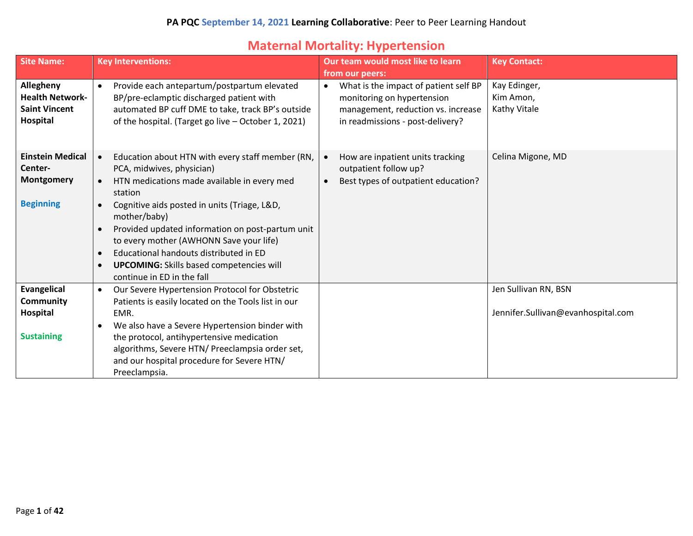### **Maternal Mortality: Hypertension**

| <b>Site Name:</b>                                                              | <b>Key Interventions:</b>                                                                                                                                                                                                                                                                                                                                                                                                                                                                                       | Our team would most like to learn<br>from our peers:                                                                                                       | <b>Key Contact:</b>                                        |
|--------------------------------------------------------------------------------|-----------------------------------------------------------------------------------------------------------------------------------------------------------------------------------------------------------------------------------------------------------------------------------------------------------------------------------------------------------------------------------------------------------------------------------------------------------------------------------------------------------------|------------------------------------------------------------------------------------------------------------------------------------------------------------|------------------------------------------------------------|
| Allegheny<br><b>Health Network-</b><br><b>Saint Vincent</b><br><b>Hospital</b> | Provide each antepartum/postpartum elevated<br>$\bullet$<br>BP/pre-eclamptic discharged patient with<br>automated BP cuff DME to take, track BP's outside<br>of the hospital. (Target go live - October 1, 2021)                                                                                                                                                                                                                                                                                                | What is the impact of patient self BP<br>$\bullet$<br>monitoring on hypertension<br>management, reduction vs. increase<br>in readmissions - post-delivery? | Kay Edinger,<br>Kim Amon,<br>Kathy Vitale                  |
| <b>Einstein Medical</b><br>Center-<br>Montgomery<br><b>Beginning</b>           | Education about HTN with every staff member (RN,<br>$\bullet$<br>PCA, midwives, physician)<br>HTN medications made available in every med<br>$\bullet$<br>station<br>Cognitive aids posted in units (Triage, L&D,<br>$\bullet$<br>mother/baby)<br>Provided updated information on post-partum unit<br>$\bullet$<br>to every mother (AWHONN Save your life)<br>Educational handouts distributed in ED<br>$\bullet$<br><b>UPCOMING:</b> Skills based competencies will<br>$\bullet$<br>continue in ED in the fall | How are inpatient units tracking<br>outpatient follow up?<br>Best types of outpatient education?                                                           | Celina Migone, MD                                          |
| Evangelical<br>Community<br>Hospital<br><b>Sustaining</b>                      | Our Severe Hypertension Protocol for Obstetric<br>$\bullet$<br>Patients is easily located on the Tools list in our<br>EMR.<br>We also have a Severe Hypertension binder with<br>$\bullet$<br>the protocol, antihypertensive medication<br>algorithms, Severe HTN/ Preeclampsia order set,<br>and our hospital procedure for Severe HTN/<br>Preeclampsia.                                                                                                                                                        |                                                                                                                                                            | Jen Sullivan RN, BSN<br>Jennifer.Sullivan@evanhospital.com |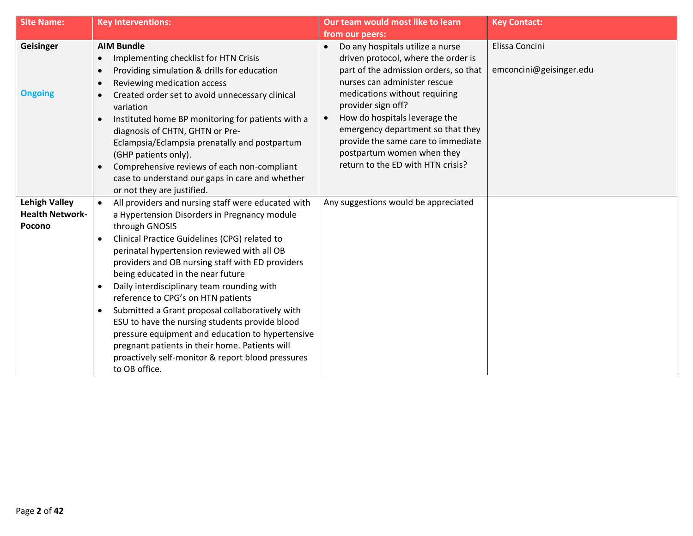| <b>Site Name:</b>                                        | <b>Key Interventions:</b>                                                                                                                                                                                                                                                                                                                                                                                                                                                                                                                                                                                                                                                                                                 | Our team would most like to learn                                                                                                                                                                                                                                                                                                                                                      | <b>Key Contact:</b>                       |
|----------------------------------------------------------|---------------------------------------------------------------------------------------------------------------------------------------------------------------------------------------------------------------------------------------------------------------------------------------------------------------------------------------------------------------------------------------------------------------------------------------------------------------------------------------------------------------------------------------------------------------------------------------------------------------------------------------------------------------------------------------------------------------------------|----------------------------------------------------------------------------------------------------------------------------------------------------------------------------------------------------------------------------------------------------------------------------------------------------------------------------------------------------------------------------------------|-------------------------------------------|
|                                                          |                                                                                                                                                                                                                                                                                                                                                                                                                                                                                                                                                                                                                                                                                                                           | from our peers:                                                                                                                                                                                                                                                                                                                                                                        |                                           |
| Geisinger<br><b>Ongoing</b>                              | <b>AIM Bundle</b><br>Implementing checklist for HTN Crisis<br>$\bullet$<br>Providing simulation & drills for education<br>$\bullet$<br>Reviewing medication access<br>$\bullet$<br>Created order set to avoid unnecessary clinical<br>$\bullet$<br>variation<br>Instituted home BP monitoring for patients with a<br>$\bullet$<br>diagnosis of CHTN, GHTN or Pre-<br>Eclampsia/Eclampsia prenatally and postpartum<br>(GHP patients only).<br>Comprehensive reviews of each non-compliant<br>$\bullet$<br>case to understand our gaps in care and whether<br>or not they are justified.                                                                                                                                   | Do any hospitals utilize a nurse<br>driven protocol, where the order is<br>part of the admission orders, so that<br>nurses can administer rescue<br>medications without requiring<br>provider sign off?<br>How do hospitals leverage the<br>emergency department so that they<br>provide the same care to immediate<br>postpartum women when they<br>return to the ED with HTN crisis? | Elissa Concini<br>emconcini@geisinger.edu |
| <b>Lehigh Valley</b><br><b>Health Network-</b><br>Pocono | All providers and nursing staff were educated with<br>a Hypertension Disorders in Pregnancy module<br>through GNOSIS<br>Clinical Practice Guidelines (CPG) related to<br>$\bullet$<br>perinatal hypertension reviewed with all OB<br>providers and OB nursing staff with ED providers<br>being educated in the near future<br>Daily interdisciplinary team rounding with<br>$\bullet$<br>reference to CPG's on HTN patients<br>Submitted a Grant proposal collaboratively with<br>$\bullet$<br>ESU to have the nursing students provide blood<br>pressure equipment and education to hypertensive<br>pregnant patients in their home. Patients will<br>proactively self-monitor & report blood pressures<br>to OB office. | Any suggestions would be appreciated                                                                                                                                                                                                                                                                                                                                                   |                                           |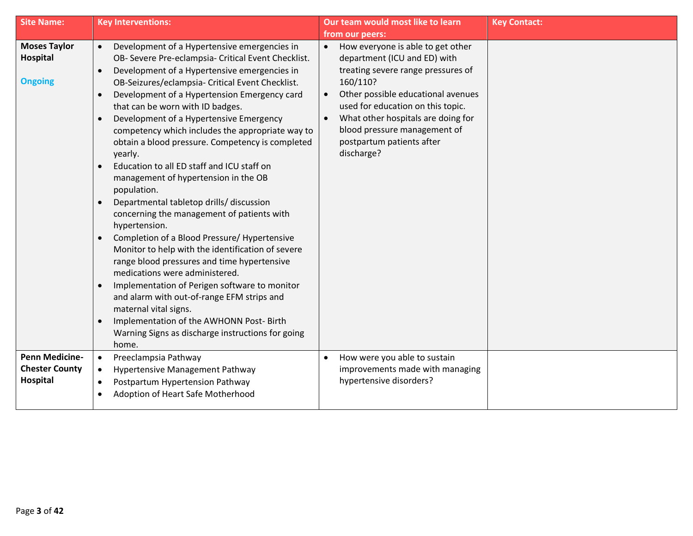| <b>Site Name:</b>                                          | <b>Key Interventions:</b>                                                                                                                                                                                                                                                                                                                                                                                                                                                                                                                                                                                                                                                                                                                                                                                                                                                                                                                                                                                                                                                                                                                                         | Our team would most like to learn                                                                                                                                                                                                                                                                                                                      | <b>Key Contact:</b> |
|------------------------------------------------------------|-------------------------------------------------------------------------------------------------------------------------------------------------------------------------------------------------------------------------------------------------------------------------------------------------------------------------------------------------------------------------------------------------------------------------------------------------------------------------------------------------------------------------------------------------------------------------------------------------------------------------------------------------------------------------------------------------------------------------------------------------------------------------------------------------------------------------------------------------------------------------------------------------------------------------------------------------------------------------------------------------------------------------------------------------------------------------------------------------------------------------------------------------------------------|--------------------------------------------------------------------------------------------------------------------------------------------------------------------------------------------------------------------------------------------------------------------------------------------------------------------------------------------------------|---------------------|
|                                                            |                                                                                                                                                                                                                                                                                                                                                                                                                                                                                                                                                                                                                                                                                                                                                                                                                                                                                                                                                                                                                                                                                                                                                                   | from our peers:                                                                                                                                                                                                                                                                                                                                        |                     |
| <b>Moses Taylor</b><br>Hospital<br><b>Ongoing</b>          | Development of a Hypertensive emergencies in<br>$\bullet$<br>OB- Severe Pre-eclampsia- Critical Event Checklist.<br>Development of a Hypertensive emergencies in<br>OB-Seizures/eclampsia- Critical Event Checklist.<br>Development of a Hypertension Emergency card<br>that can be worn with ID badges.<br>Development of a Hypertensive Emergency<br>competency which includes the appropriate way to<br>obtain a blood pressure. Competency is completed<br>yearly.<br>Education to all ED staff and ICU staff on<br>management of hypertension in the OB<br>population.<br>Departmental tabletop drills/ discussion<br>$\bullet$<br>concerning the management of patients with<br>hypertension.<br>Completion of a Blood Pressure/ Hypertensive<br>$\bullet$<br>Monitor to help with the identification of severe<br>range blood pressures and time hypertensive<br>medications were administered.<br>Implementation of Perigen software to monitor<br>$\bullet$<br>and alarm with out-of-range EFM strips and<br>maternal vital signs.<br>Implementation of the AWHONN Post-Birth<br>$\bullet$<br>Warning Signs as discharge instructions for going<br>home. | How everyone is able to get other<br>$\bullet$<br>department (ICU and ED) with<br>treating severe range pressures of<br>160/110?<br>Other possible educational avenues<br>$\bullet$<br>used for education on this topic.<br>What other hospitals are doing for<br>$\bullet$<br>blood pressure management of<br>postpartum patients after<br>discharge? |                     |
| <b>Penn Medicine-</b><br><b>Chester County</b><br>Hospital | Preeclampsia Pathway<br>$\bullet$<br>Hypertensive Management Pathway<br>$\bullet$<br>Postpartum Hypertension Pathway<br>$\bullet$<br>Adoption of Heart Safe Motherhood<br>$\bullet$                                                                                                                                                                                                                                                                                                                                                                                                                                                                                                                                                                                                                                                                                                                                                                                                                                                                                                                                                                               | How were you able to sustain<br>improvements made with managing<br>hypertensive disorders?                                                                                                                                                                                                                                                             |                     |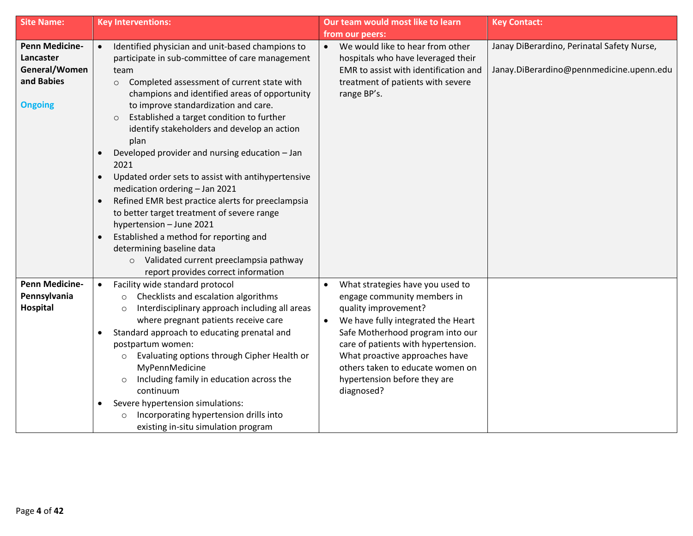| <b>Site Name:</b>                                                                   | <b>Key Interventions:</b>                                                                                                                                                                                                                                                                                                                                                                                                                                                                                                                                                                                                                                                                                                                                                                                                                         | Our team would most like to learn                                                                                                                                                                                                                                                                                                                      | <b>Key Contact:</b>                                                                    |
|-------------------------------------------------------------------------------------|---------------------------------------------------------------------------------------------------------------------------------------------------------------------------------------------------------------------------------------------------------------------------------------------------------------------------------------------------------------------------------------------------------------------------------------------------------------------------------------------------------------------------------------------------------------------------------------------------------------------------------------------------------------------------------------------------------------------------------------------------------------------------------------------------------------------------------------------------|--------------------------------------------------------------------------------------------------------------------------------------------------------------------------------------------------------------------------------------------------------------------------------------------------------------------------------------------------------|----------------------------------------------------------------------------------------|
|                                                                                     |                                                                                                                                                                                                                                                                                                                                                                                                                                                                                                                                                                                                                                                                                                                                                                                                                                                   | from our peers:                                                                                                                                                                                                                                                                                                                                        |                                                                                        |
| <b>Penn Medicine-</b><br>Lancaster<br>General/Women<br>and Babies<br><b>Ongoing</b> | Identified physician and unit-based champions to<br>$\bullet$<br>participate in sub-committee of care management<br>team<br>Completed assessment of current state with<br>$\circ$<br>champions and identified areas of opportunity<br>to improve standardization and care.<br>Established a target condition to further<br>$\circ$<br>identify stakeholders and develop an action<br>plan<br>Developed provider and nursing education - Jan<br>2021<br>Updated order sets to assist with antihypertensive<br>medication ordering - Jan 2021<br>Refined EMR best practice alerts for preeclampsia<br>$\bullet$<br>to better target treatment of severe range<br>hypertension - June 2021<br>Established a method for reporting and<br>determining baseline data<br>o Validated current preeclampsia pathway<br>report provides correct information | We would like to hear from other<br>hospitals who have leveraged their<br>EMR to assist with identification and<br>treatment of patients with severe<br>range BP's.                                                                                                                                                                                    | Janay DiBerardino, Perinatal Safety Nurse,<br>Janay.DiBerardino@pennmedicine.upenn.edu |
| <b>Penn Medicine-</b><br>Pennsylvania<br>Hospital                                   | Facility wide standard protocol<br>$\bullet$<br>Checklists and escalation algorithms<br>$\circ$<br>Interdisciplinary approach including all areas<br>$\circ$<br>where pregnant patients receive care<br>Standard approach to educating prenatal and<br>postpartum women:<br>Evaluating options through Cipher Health or<br>$\circ$<br>MyPennMedicine<br>Including family in education across the<br>$\circ$<br>continuum<br>Severe hypertension simulations:<br>$\bullet$<br>Incorporating hypertension drills into<br>$\circ$<br>existing in-situ simulation program                                                                                                                                                                                                                                                                             | What strategies have you used to<br>$\bullet$<br>engage community members in<br>quality improvement?<br>We have fully integrated the Heart<br>$\bullet$<br>Safe Motherhood program into our<br>care of patients with hypertension.<br>What proactive approaches have<br>others taken to educate women on<br>hypertension before they are<br>diagnosed? |                                                                                        |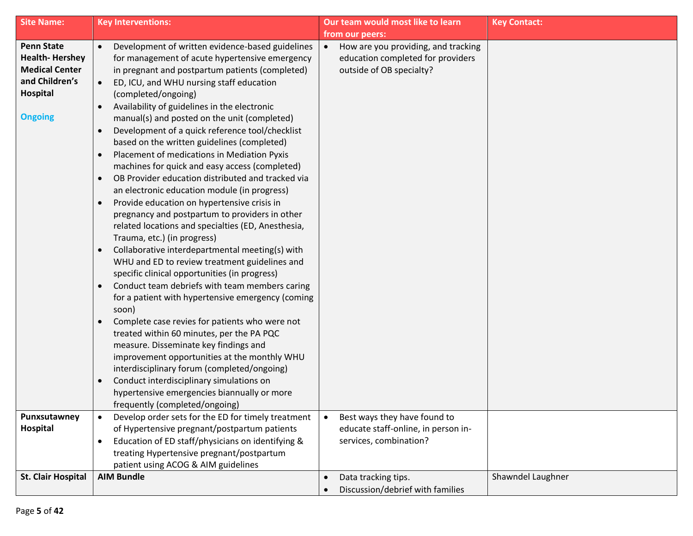| <b>Site Name:</b>                                                                                                          | <b>Key Interventions:</b>                                                                                                                                                                                                                                                                                                                                                                                                                                                                                                                                                                                                                                                                                                                                                                                                                                                                                                                                                                                                                                                                                                                                                                                                                                                                                                                                                                                                                                                                                                                                                                                      | Our team would most like to learn                                                                    | <b>Key Contact:</b> |
|----------------------------------------------------------------------------------------------------------------------------|----------------------------------------------------------------------------------------------------------------------------------------------------------------------------------------------------------------------------------------------------------------------------------------------------------------------------------------------------------------------------------------------------------------------------------------------------------------------------------------------------------------------------------------------------------------------------------------------------------------------------------------------------------------------------------------------------------------------------------------------------------------------------------------------------------------------------------------------------------------------------------------------------------------------------------------------------------------------------------------------------------------------------------------------------------------------------------------------------------------------------------------------------------------------------------------------------------------------------------------------------------------------------------------------------------------------------------------------------------------------------------------------------------------------------------------------------------------------------------------------------------------------------------------------------------------------------------------------------------------|------------------------------------------------------------------------------------------------------|---------------------|
|                                                                                                                            |                                                                                                                                                                                                                                                                                                                                                                                                                                                                                                                                                                                                                                                                                                                                                                                                                                                                                                                                                                                                                                                                                                                                                                                                                                                                                                                                                                                                                                                                                                                                                                                                                | from our peers:                                                                                      |                     |
| <b>Penn State</b><br><b>Health-Hershey</b><br><b>Medical Center</b><br>and Children's<br><b>Hospital</b><br><b>Ongoing</b> | Development of written evidence-based guidelines<br>$\bullet$<br>for management of acute hypertensive emergency<br>in pregnant and postpartum patients (completed)<br>ED, ICU, and WHU nursing staff education<br>$\bullet$<br>(completed/ongoing)<br>Availability of guidelines in the electronic<br>$\bullet$<br>manual(s) and posted on the unit (completed)<br>Development of a quick reference tool/checklist<br>$\bullet$<br>based on the written guidelines (completed)<br>Placement of medications in Mediation Pyxis<br>$\bullet$<br>machines for quick and easy access (completed)<br>OB Provider education distributed and tracked via<br>$\bullet$<br>an electronic education module (in progress)<br>Provide education on hypertensive crisis in<br>$\bullet$<br>pregnancy and postpartum to providers in other<br>related locations and specialties (ED, Anesthesia,<br>Trauma, etc.) (in progress)<br>Collaborative interdepartmental meeting(s) with<br>$\bullet$<br>WHU and ED to review treatment guidelines and<br>specific clinical opportunities (in progress)<br>Conduct team debriefs with team members caring<br>$\bullet$<br>for a patient with hypertensive emergency (coming<br>soon)<br>Complete case revies for patients who were not<br>$\bullet$<br>treated within 60 minutes, per the PA PQC<br>measure. Disseminate key findings and<br>improvement opportunities at the monthly WHU<br>interdisciplinary forum (completed/ongoing)<br>Conduct interdisciplinary simulations on<br>$\bullet$<br>hypertensive emergencies biannually or more<br>frequently (completed/ongoing) | How are you providing, and tracking<br>education completed for providers<br>outside of OB specialty? |                     |
| Punxsutawney                                                                                                               | Develop order sets for the ED for timely treatment                                                                                                                                                                                                                                                                                                                                                                                                                                                                                                                                                                                                                                                                                                                                                                                                                                                                                                                                                                                                                                                                                                                                                                                                                                                                                                                                                                                                                                                                                                                                                             | Best ways they have found to<br>$\bullet$                                                            |                     |
| Hospital                                                                                                                   | of Hypertensive pregnant/postpartum patients<br>Education of ED staff/physicians on identifying &<br>$\bullet$                                                                                                                                                                                                                                                                                                                                                                                                                                                                                                                                                                                                                                                                                                                                                                                                                                                                                                                                                                                                                                                                                                                                                                                                                                                                                                                                                                                                                                                                                                 | educate staff-online, in person in-<br>services, combination?                                        |                     |
|                                                                                                                            | treating Hypertensive pregnant/postpartum                                                                                                                                                                                                                                                                                                                                                                                                                                                                                                                                                                                                                                                                                                                                                                                                                                                                                                                                                                                                                                                                                                                                                                                                                                                                                                                                                                                                                                                                                                                                                                      |                                                                                                      |                     |
|                                                                                                                            | patient using ACOG & AIM guidelines                                                                                                                                                                                                                                                                                                                                                                                                                                                                                                                                                                                                                                                                                                                                                                                                                                                                                                                                                                                                                                                                                                                                                                                                                                                                                                                                                                                                                                                                                                                                                                            |                                                                                                      |                     |
| <b>St. Clair Hospital</b>                                                                                                  | <b>AIM Bundle</b>                                                                                                                                                                                                                                                                                                                                                                                                                                                                                                                                                                                                                                                                                                                                                                                                                                                                                                                                                                                                                                                                                                                                                                                                                                                                                                                                                                                                                                                                                                                                                                                              | Data tracking tips.<br>Discussion/debrief with families                                              | Shawndel Laughner   |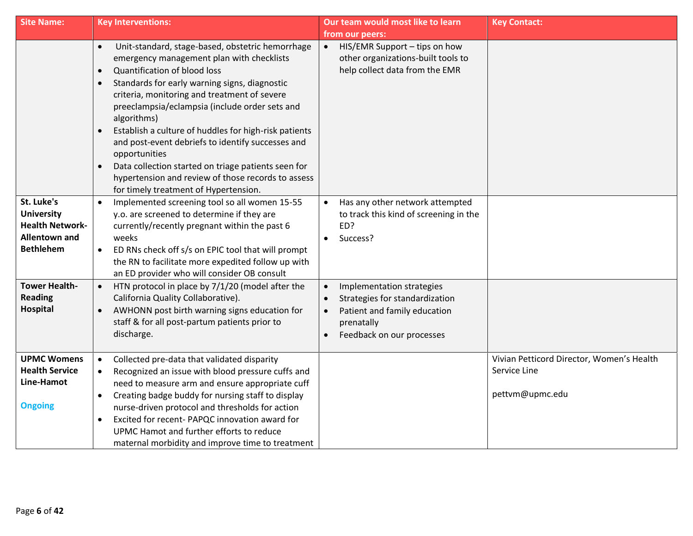| <b>Site Name:</b>                                                                                     | <b>Key Interventions:</b>                                                                                                                                                                                                                                                                                                                                                                                                                                                                                                                                                                                                   | Our team would most like to learn                                                                                                                   | <b>Key Contact:</b>                                                          |
|-------------------------------------------------------------------------------------------------------|-----------------------------------------------------------------------------------------------------------------------------------------------------------------------------------------------------------------------------------------------------------------------------------------------------------------------------------------------------------------------------------------------------------------------------------------------------------------------------------------------------------------------------------------------------------------------------------------------------------------------------|-----------------------------------------------------------------------------------------------------------------------------------------------------|------------------------------------------------------------------------------|
|                                                                                                       |                                                                                                                                                                                                                                                                                                                                                                                                                                                                                                                                                                                                                             | from our peers:                                                                                                                                     |                                                                              |
|                                                                                                       | Unit-standard, stage-based, obstetric hemorrhage<br>$\bullet$<br>emergency management plan with checklists<br>Quantification of blood loss<br>$\bullet$<br>Standards for early warning signs, diagnostic<br>$\bullet$<br>criteria, monitoring and treatment of severe<br>preeclampsia/eclampsia (include order sets and<br>algorithms)<br>Establish a culture of huddles for high-risk patients<br>and post-event debriefs to identify successes and<br>opportunities<br>Data collection started on triage patients seen for<br>hypertension and review of those records to assess<br>for timely treatment of Hypertension. | HIS/EMR Support - tips on how<br>$\bullet$<br>other organizations-built tools to<br>help collect data from the EMR                                  |                                                                              |
| St. Luke's<br><b>University</b><br><b>Health Network-</b><br><b>Allentown and</b><br><b>Bethlehem</b> | Implemented screening tool so all women 15-55<br>$\bullet$<br>y.o. are screened to determine if they are<br>currently/recently pregnant within the past 6<br>weeks<br>ED RNs check off s/s on EPIC tool that will prompt<br>the RN to facilitate more expedited follow up with<br>an ED provider who will consider OB consult                                                                                                                                                                                                                                                                                               | Has any other network attempted<br>to track this kind of screening in the<br>ED?<br>Success?<br>$\bullet$                                           |                                                                              |
| <b>Tower Health-</b><br><b>Reading</b><br>Hospital                                                    | HTN protocol in place by 7/1/20 (model after the<br>California Quality Collaborative).<br>AWHONN post birth warning signs education for<br>staff & for all post-partum patients prior to<br>discharge.                                                                                                                                                                                                                                                                                                                                                                                                                      | Implementation strategies<br>$\bullet$<br>Strategies for standardization<br>Patient and family education<br>prenatally<br>Feedback on our processes |                                                                              |
| <b>UPMC Womens</b><br><b>Health Service</b><br>Line-Hamot<br><b>Ongoing</b>                           | Collected pre-data that validated disparity<br>$\bullet$<br>Recognized an issue with blood pressure cuffs and<br>need to measure arm and ensure appropriate cuff<br>Creating badge buddy for nursing staff to display<br>$\bullet$<br>nurse-driven protocol and thresholds for action<br>Excited for recent- PAPQC innovation award for<br>$\bullet$<br>UPMC Hamot and further efforts to reduce<br>maternal morbidity and improve time to treatment                                                                                                                                                                        |                                                                                                                                                     | Vivian Petticord Director, Women's Health<br>Service Line<br>pettvm@upmc.edu |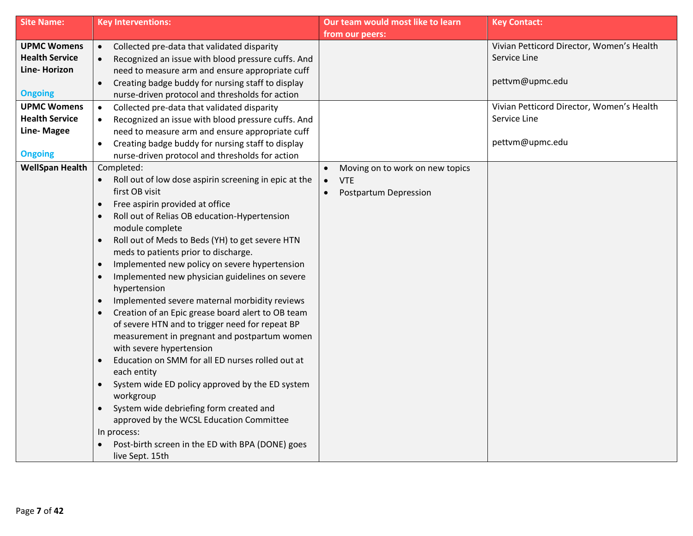| <b>Site Name:</b>      | <b>Key Interventions:</b>                                                           | Our team would most like to learn | <b>Key Contact:</b>                       |
|------------------------|-------------------------------------------------------------------------------------|-----------------------------------|-------------------------------------------|
|                        |                                                                                     | from our peers:                   |                                           |
| <b>UPMC Womens</b>     | Collected pre-data that validated disparity<br>$\bullet$                            |                                   | Vivian Petticord Director, Women's Health |
| <b>Health Service</b>  | Recognized an issue with blood pressure cuffs. And                                  |                                   | Service Line                              |
| Line-Horizon           | need to measure arm and ensure appropriate cuff                                     |                                   |                                           |
|                        | Creating badge buddy for nursing staff to display                                   |                                   | pettvm@upmc.edu                           |
| <b>Ongoing</b>         | nurse-driven protocol and thresholds for action                                     |                                   |                                           |
| <b>UPMC Womens</b>     | Collected pre-data that validated disparity<br>$\bullet$                            |                                   | Vivian Petticord Director, Women's Health |
| <b>Health Service</b>  | Recognized an issue with blood pressure cuffs. And                                  |                                   | Service Line                              |
| Line-Magee             | need to measure arm and ensure appropriate cuff                                     |                                   |                                           |
|                        | Creating badge buddy for nursing staff to display                                   |                                   | pettvm@upmc.edu                           |
| <b>Ongoing</b>         | nurse-driven protocol and thresholds for action                                     |                                   |                                           |
| <b>WellSpan Health</b> | Completed:                                                                          | Moving on to work on new topics   |                                           |
|                        | Roll out of low dose aspirin screening in epic at the                               | <b>VTE</b><br>$\bullet$           |                                           |
|                        | first OB visit                                                                      | Postpartum Depression             |                                           |
|                        | Free aspirin provided at office<br>$\bullet$                                        |                                   |                                           |
|                        | Roll out of Relias OB education-Hypertension                                        |                                   |                                           |
|                        | module complete                                                                     |                                   |                                           |
|                        | Roll out of Meds to Beds (YH) to get severe HTN<br>$\bullet$                        |                                   |                                           |
|                        | meds to patients prior to discharge.                                                |                                   |                                           |
|                        | Implemented new policy on severe hypertension<br>$\bullet$                          |                                   |                                           |
|                        | Implemented new physician guidelines on severe<br>$\bullet$                         |                                   |                                           |
|                        | hypertension                                                                        |                                   |                                           |
|                        | Implemented severe maternal morbidity reviews<br>$\bullet$                          |                                   |                                           |
|                        | Creation of an Epic grease board alert to OB team                                   |                                   |                                           |
|                        | of severe HTN and to trigger need for repeat BP                                     |                                   |                                           |
|                        | measurement in pregnant and postpartum women                                        |                                   |                                           |
|                        | with severe hypertension                                                            |                                   |                                           |
|                        | Education on SMM for all ED nurses rolled out at<br>$\bullet$<br>each entity        |                                   |                                           |
|                        | System wide ED policy approved by the ED system                                     |                                   |                                           |
|                        | workgroup                                                                           |                                   |                                           |
|                        | System wide debriefing form created and<br>approved by the WCSL Education Committee |                                   |                                           |
|                        | In process:                                                                         |                                   |                                           |
|                        | Post-birth screen in the ED with BPA (DONE) goes                                    |                                   |                                           |
|                        | live Sept. 15th                                                                     |                                   |                                           |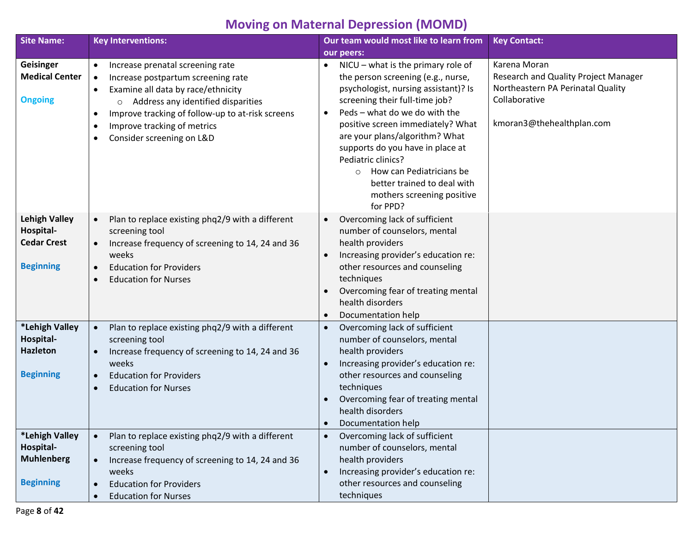# **Moving on Maternal Depression (MOMD)**

| <b>Site Name:</b>                                                    | <b>Key Interventions:</b>                                                                                                                                                                                                                                                                                                         | Our team would most like to learn from                                                                                                                                                                                                                                  | <b>Key Contact:</b>                                                                                                                     |
|----------------------------------------------------------------------|-----------------------------------------------------------------------------------------------------------------------------------------------------------------------------------------------------------------------------------------------------------------------------------------------------------------------------------|-------------------------------------------------------------------------------------------------------------------------------------------------------------------------------------------------------------------------------------------------------------------------|-----------------------------------------------------------------------------------------------------------------------------------------|
|                                                                      |                                                                                                                                                                                                                                                                                                                                   | our peers:                                                                                                                                                                                                                                                              |                                                                                                                                         |
| Geisinger<br><b>Medical Center</b><br><b>Ongoing</b>                 | Increase prenatal screening rate<br>$\bullet$<br>Increase postpartum screening rate<br>$\bullet$<br>Examine all data by race/ethnicity<br>$\bullet$<br>Address any identified disparities<br>$\circ$<br>Improve tracking of follow-up to at-risk screens<br>$\bullet$<br>Improve tracking of metrics<br>Consider screening on L&D | NICU - what is the primary role of<br>$\bullet$<br>the person screening (e.g., nurse,<br>psychologist, nursing assistant)? Is<br>screening their full-time job?<br>Peds - what do we do with the<br>positive screen immediately? What<br>are your plans/algorithm? What | Karena Moran<br>Research and Quality Project Manager<br>Northeastern PA Perinatal Quality<br>Collaborative<br>kmoran3@thehealthplan.com |
|                                                                      |                                                                                                                                                                                                                                                                                                                                   | supports do you have in place at<br>Pediatric clinics?<br>How can Pediatricians be<br>$\circ$<br>better trained to deal with<br>mothers screening positive<br>for PPD?                                                                                                  |                                                                                                                                         |
| <b>Lehigh Valley</b><br>Hospital-<br><b>Cedar Crest</b>              | Plan to replace existing phq2/9 with a different<br>$\bullet$<br>screening tool<br>Increase frequency of screening to 14, 24 and 36<br>$\bullet$<br>weeks                                                                                                                                                                         | Overcoming lack of sufficient<br>$\bullet$<br>number of counselors, mental<br>health providers<br>Increasing provider's education re:<br>$\bullet$                                                                                                                      |                                                                                                                                         |
| <b>Beginning</b>                                                     | <b>Education for Providers</b><br>$\bullet$<br><b>Education for Nurses</b>                                                                                                                                                                                                                                                        | other resources and counseling<br>techniques<br>Overcoming fear of treating mental<br>health disorders<br>Documentation help<br>$\bullet$                                                                                                                               |                                                                                                                                         |
| *Lehigh Valley<br>Hospital-<br><b>Hazleton</b>                       | Plan to replace existing phq2/9 with a different<br>$\bullet$<br>screening tool<br>Increase frequency of screening to 14, 24 and 36<br>$\bullet$<br>weeks                                                                                                                                                                         | Overcoming lack of sufficient<br>$\bullet$<br>number of counselors, mental<br>health providers<br>Increasing provider's education re:                                                                                                                                   |                                                                                                                                         |
| <b>Beginning</b>                                                     | <b>Education for Providers</b><br>$\bullet$<br><b>Education for Nurses</b><br>$\bullet$                                                                                                                                                                                                                                           | other resources and counseling<br>techniques<br>Overcoming fear of treating mental<br>$\bullet$<br>health disorders<br>Documentation help<br>$\bullet$                                                                                                                  |                                                                                                                                         |
| *Lehigh Valley<br>Hospital-<br><b>Muhlenberg</b><br><b>Beginning</b> | Plan to replace existing phq2/9 with a different<br>$\bullet$<br>screening tool<br>Increase frequency of screening to 14, 24 and 36<br>weeks<br><b>Education for Providers</b><br>$\bullet$                                                                                                                                       | Overcoming lack of sufficient<br>$\bullet$<br>number of counselors, mental<br>health providers<br>Increasing provider's education re:<br>$\bullet$<br>other resources and counseling                                                                                    |                                                                                                                                         |
|                                                                      | <b>Education for Nurses</b>                                                                                                                                                                                                                                                                                                       | techniques                                                                                                                                                                                                                                                              |                                                                                                                                         |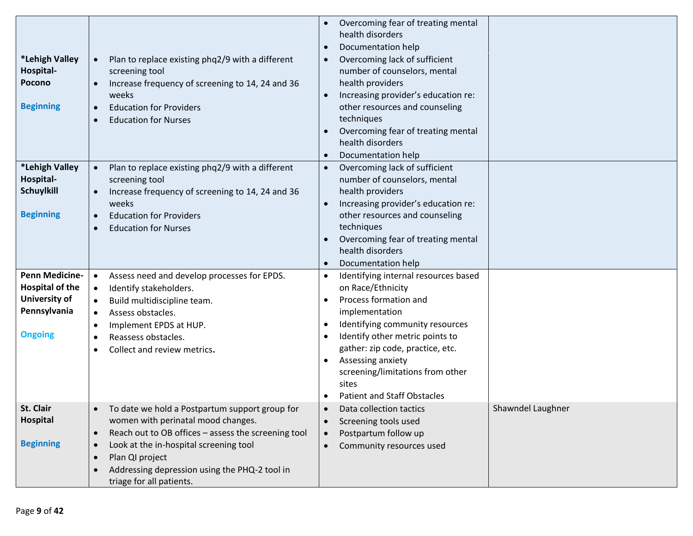|                                                               |                                                                                                                                                                                                                                         | Overcoming fear of treating mental<br>health disorders                                                                                                                                                                                                   |                   |
|---------------------------------------------------------------|-----------------------------------------------------------------------------------------------------------------------------------------------------------------------------------------------------------------------------------------|----------------------------------------------------------------------------------------------------------------------------------------------------------------------------------------------------------------------------------------------------------|-------------------|
|                                                               |                                                                                                                                                                                                                                         | Documentation help                                                                                                                                                                                                                                       |                   |
| *Lehigh Valley<br>Hospital-<br>Pocono<br><b>Beginning</b>     | Plan to replace existing phq2/9 with a different<br>$\bullet$<br>screening tool<br>Increase frequency of screening to 14, 24 and 36<br>$\bullet$<br>weeks<br><b>Education for Providers</b><br>$\bullet$<br><b>Education for Nurses</b> | Overcoming lack of sufficient<br>number of counselors, mental<br>health providers<br>Increasing provider's education re:<br>other resources and counseling<br>techniques<br>Overcoming fear of treating mental<br>health disorders<br>Documentation help |                   |
| *Lehigh Valley<br>Hospital-<br>Schuylkill<br><b>Beginning</b> | Plan to replace existing phq2/9 with a different<br>$\bullet$<br>screening tool<br>Increase frequency of screening to 14, 24 and 36<br>$\bullet$<br>weeks<br><b>Education for Providers</b><br>$\bullet$<br><b>Education for Nurses</b> | Overcoming lack of sufficient<br>number of counselors, mental<br>health providers<br>Increasing provider's education re:<br>other resources and counseling<br>techniques<br>Overcoming fear of treating mental<br>health disorders<br>Documentation help |                   |
| Penn Medicine-                                                | Assess need and develop processes for EPDS.<br>$\bullet$                                                                                                                                                                                | Identifying internal resources based                                                                                                                                                                                                                     |                   |
| <b>Hospital of the</b>                                        | Identify stakeholders.<br>$\bullet$                                                                                                                                                                                                     | on Race/Ethnicity                                                                                                                                                                                                                                        |                   |
| University of                                                 | Build multidiscipline team.<br>$\bullet$                                                                                                                                                                                                | Process formation and                                                                                                                                                                                                                                    |                   |
| Pennsylvania                                                  | Assess obstacles.<br>$\bullet$                                                                                                                                                                                                          | implementation                                                                                                                                                                                                                                           |                   |
|                                                               | Implement EPDS at HUP.<br>٠                                                                                                                                                                                                             | Identifying community resources                                                                                                                                                                                                                          |                   |
| <b>Ongoing</b>                                                | Reassess obstacles.<br>$\bullet$                                                                                                                                                                                                        | Identify other metric points to                                                                                                                                                                                                                          |                   |
|                                                               | Collect and review metrics.                                                                                                                                                                                                             | gather: zip code, practice, etc.                                                                                                                                                                                                                         |                   |
|                                                               |                                                                                                                                                                                                                                         | Assessing anxiety<br>screening/limitations from other                                                                                                                                                                                                    |                   |
|                                                               |                                                                                                                                                                                                                                         | sites                                                                                                                                                                                                                                                    |                   |
|                                                               |                                                                                                                                                                                                                                         | <b>Patient and Staff Obstacles</b>                                                                                                                                                                                                                       |                   |
| St. Clair                                                     | To date we hold a Postpartum support group for                                                                                                                                                                                          | Data collection tactics                                                                                                                                                                                                                                  | Shawndel Laughner |
| <b>Hospital</b>                                               | women with perinatal mood changes.                                                                                                                                                                                                      | Screening tools used                                                                                                                                                                                                                                     |                   |
|                                                               | Reach out to OB offices - assess the screening tool<br>$\bullet$                                                                                                                                                                        | Postpartum follow up                                                                                                                                                                                                                                     |                   |
| <b>Beginning</b>                                              | Look at the in-hospital screening tool<br>$\bullet$                                                                                                                                                                                     | Community resources used                                                                                                                                                                                                                                 |                   |
|                                                               | Plan QI project<br>$\bullet$                                                                                                                                                                                                            |                                                                                                                                                                                                                                                          |                   |
|                                                               | Addressing depression using the PHQ-2 tool in<br>$\bullet$                                                                                                                                                                              |                                                                                                                                                                                                                                                          |                   |
|                                                               | triage for all patients.                                                                                                                                                                                                                |                                                                                                                                                                                                                                                          |                   |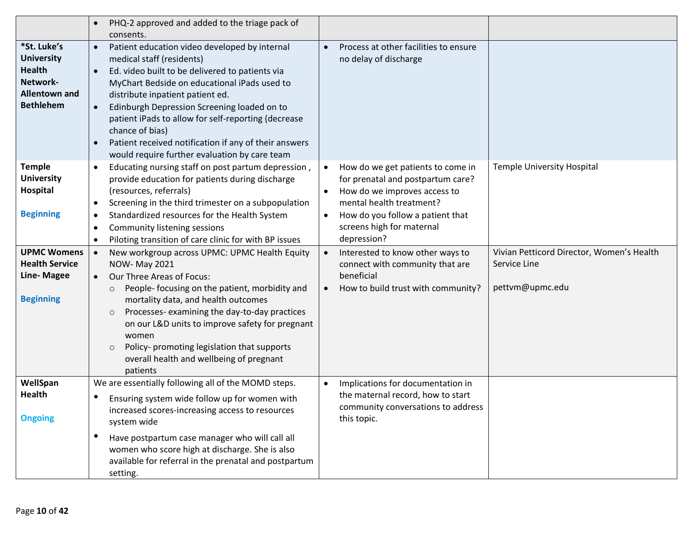|                                            | PHQ-2 approved and added to the triage pack of                                            |                                                |                                           |
|--------------------------------------------|-------------------------------------------------------------------------------------------|------------------------------------------------|-------------------------------------------|
|                                            | consents.                                                                                 |                                                |                                           |
| *St. Luke's<br><b>University</b>           | Patient education video developed by internal<br>$\bullet$                                | Process at other facilities to ensure          |                                           |
| <b>Health</b>                              | medical staff (residents)<br>Ed. video built to be delivered to patients via<br>$\bullet$ | no delay of discharge                          |                                           |
| Network-                                   | MyChart Bedside on educational iPads used to                                              |                                                |                                           |
| <b>Allentown and</b>                       | distribute inpatient patient ed.                                                          |                                                |                                           |
| <b>Bethlehem</b>                           | Edinburgh Depression Screening loaded on to<br>$\bullet$                                  |                                                |                                           |
|                                            | patient iPads to allow for self-reporting (decrease                                       |                                                |                                           |
|                                            | chance of bias)                                                                           |                                                |                                           |
|                                            | Patient received notification if any of their answers                                     |                                                |                                           |
|                                            | would require further evaluation by care team                                             |                                                |                                           |
| <b>Temple</b>                              | Educating nursing staff on post partum depression,<br>$\bullet$                           | How do we get patients to come in<br>$\bullet$ | <b>Temple University Hospital</b>         |
| <b>University</b>                          | provide education for patients during discharge                                           | for prenatal and postpartum care?              |                                           |
| Hospital                                   | (resources, referrals)                                                                    | How do we improves access to                   |                                           |
|                                            | Screening in the third trimester on a subpopulation<br>$\bullet$                          | mental health treatment?                       |                                           |
| <b>Beginning</b>                           | Standardized resources for the Health System                                              | How do you follow a patient that               |                                           |
|                                            | <b>Community listening sessions</b><br>٠                                                  | screens high for maternal                      |                                           |
|                                            | Piloting transition of care clinic for with BP issues<br>$\bullet$                        | depression?                                    |                                           |
| <b>UPMC Womens</b>                         | New workgroup across UPMC: UPMC Health Equity                                             | Interested to know other ways to               | Vivian Petticord Director, Women's Health |
| <b>Health Service</b><br><b>Line-Magee</b> | NOW- May 2021<br>Our Three Areas of Focus:                                                | connect with community that are<br>beneficial  | Service Line                              |
|                                            | $\bullet$<br>People- focusing on the patient, morbidity and                               | How to build trust with community?             | pettvm@upmc.edu                           |
| <b>Beginning</b>                           | $\circ$<br>mortality data, and health outcomes                                            |                                                |                                           |
|                                            | Processes-examining the day-to-day practices<br>$\circ$                                   |                                                |                                           |
|                                            | on our L&D units to improve safety for pregnant                                           |                                                |                                           |
|                                            | women                                                                                     |                                                |                                           |
|                                            | Policy- promoting legislation that supports<br>$\circ$                                    |                                                |                                           |
|                                            | overall health and wellbeing of pregnant                                                  |                                                |                                           |
|                                            | patients                                                                                  |                                                |                                           |
| WellSpan                                   | We are essentially following all of the MOMD steps.                                       | Implications for documentation in<br>$\bullet$ |                                           |
| Health                                     | Ensuring system wide follow up for women with                                             | the maternal record, how to start              |                                           |
|                                            | increased scores-increasing access to resources                                           | community conversations to address             |                                           |
| <b>Ongoing</b>                             | system wide                                                                               | this topic.                                    |                                           |
|                                            | Have postpartum case manager who will call all                                            |                                                |                                           |
|                                            | women who score high at discharge. She is also                                            |                                                |                                           |
|                                            | available for referral in the prenatal and postpartum                                     |                                                |                                           |
|                                            | setting.                                                                                  |                                                |                                           |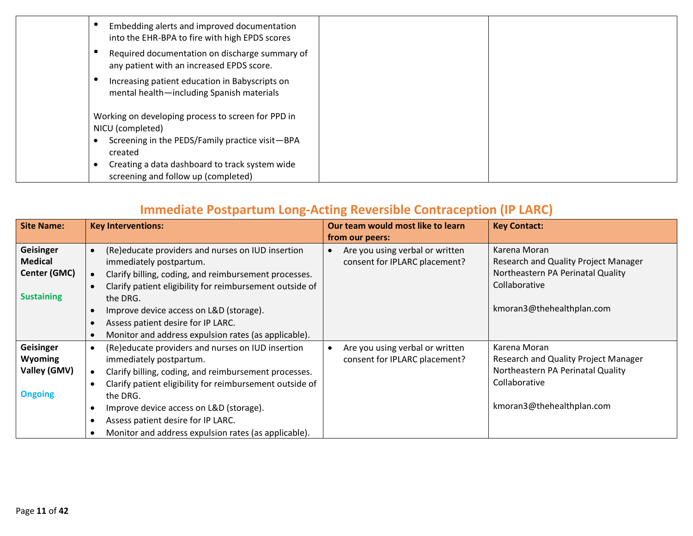| Embedding alerts and improved documentation<br>into the EHR-BPA to fire with high EPDS scores |  |
|-----------------------------------------------------------------------------------------------|--|
| Required documentation on discharge summary of<br>any patient with an increased EPDS score.   |  |
| Increasing patient education in Babyscripts on<br>mental health-including Spanish materials   |  |
| Working on developing process to screen for PPD in<br>NICU (completed)                        |  |
| Screening in the PEDS/Family practice visit-BPA<br>created                                    |  |
| Creating a data dashboard to track system wide<br>screening and follow up (completed)         |  |

## **Immediate Postpartum Long-Acting Reversible Contraception (IP LARC)**

| <b>Site Name:</b> | <b>Key Interventions:</b>                                | Our team would most like to learn | <b>Key Contact:</b>                  |
|-------------------|----------------------------------------------------------|-----------------------------------|--------------------------------------|
|                   |                                                          | from our peers:                   |                                      |
| Geisinger         | (Re)educate providers and nurses on IUD insertion        | Are you using verbal or written   | Karena Moran                         |
| <b>Medical</b>    | immediately postpartum.                                  | consent for IPLARC placement?     | Research and Quality Project Manager |
| Center (GMC)      | Clarify billing, coding, and reimbursement processes.    |                                   | Northeastern PA Perinatal Quality    |
|                   | Clarify patient eligibility for reimbursement outside of |                                   | Collaborative                        |
| <b>Sustaining</b> | the DRG.                                                 |                                   |                                      |
|                   | Improve device access on L&D (storage).                  |                                   | kmoran3@thehealthplan.com            |
|                   | Assess patient desire for IP LARC.                       |                                   |                                      |
|                   | Monitor and address expulsion rates (as applicable).     |                                   |                                      |
| Geisinger         | (Re)educate providers and nurses on IUD insertion        | Are you using verbal or written   | Karena Moran                         |
| <b>Wyoming</b>    | immediately postpartum.                                  | consent for IPLARC placement?     | Research and Quality Project Manager |
| Valley (GMV)      | Clarify billing, coding, and reimbursement processes.    |                                   | Northeastern PA Perinatal Quality    |
|                   | Clarify patient eligibility for reimbursement outside of |                                   | Collaborative                        |
| <b>Ongoing</b>    | the DRG.                                                 |                                   |                                      |
|                   | Improve device access on L&D (storage).<br>$\bullet$     |                                   | kmoran3@thehealthplan.com            |
|                   | Assess patient desire for IP LARC.                       |                                   |                                      |
|                   | Monitor and address expulsion rates (as applicable).     |                                   |                                      |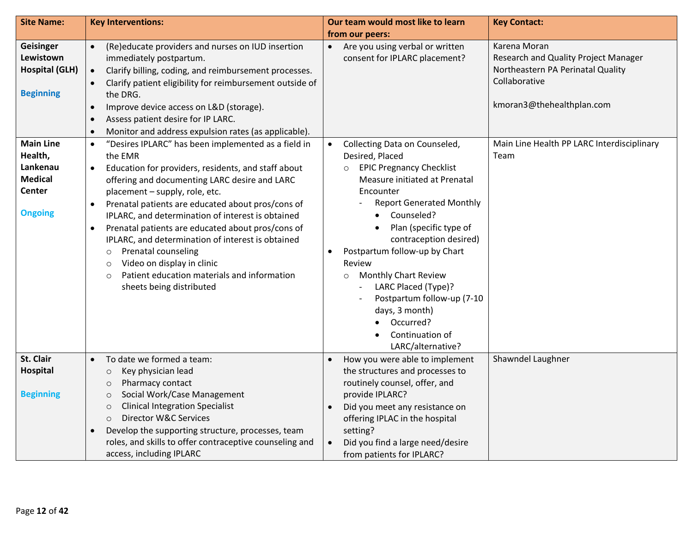| <b>Site Name:</b>                                                                            | <b>Key Interventions:</b>                                                                                                                                                                                                                                                                                                                                                                                                                                                                                                                                                                                                                   | Our team would most like to learn                                                                                                                                                                                                                                                                                                                                                                                                                                                            | <b>Key Contact:</b>                                                                                                                     |  |
|----------------------------------------------------------------------------------------------|---------------------------------------------------------------------------------------------------------------------------------------------------------------------------------------------------------------------------------------------------------------------------------------------------------------------------------------------------------------------------------------------------------------------------------------------------------------------------------------------------------------------------------------------------------------------------------------------------------------------------------------------|----------------------------------------------------------------------------------------------------------------------------------------------------------------------------------------------------------------------------------------------------------------------------------------------------------------------------------------------------------------------------------------------------------------------------------------------------------------------------------------------|-----------------------------------------------------------------------------------------------------------------------------------------|--|
|                                                                                              |                                                                                                                                                                                                                                                                                                                                                                                                                                                                                                                                                                                                                                             | from our peers:                                                                                                                                                                                                                                                                                                                                                                                                                                                                              |                                                                                                                                         |  |
| Geisinger<br>Lewistown<br><b>Hospital (GLH)</b><br><b>Beginning</b>                          | (Re)educate providers and nurses on IUD insertion<br>$\bullet$<br>immediately postpartum.<br>Clarify billing, coding, and reimbursement processes.<br>$\bullet$<br>Clarify patient eligibility for reimbursement outside of<br>the DRG.<br>Improve device access on L&D (storage).<br>$\bullet$<br>Assess patient desire for IP LARC.<br>$\bullet$<br>Monitor and address expulsion rates (as applicable).<br>$\bullet$                                                                                                                                                                                                                     | Are you using verbal or written<br>$\bullet$<br>consent for IPLARC placement?                                                                                                                                                                                                                                                                                                                                                                                                                | Karena Moran<br>Research and Quality Project Manager<br>Northeastern PA Perinatal Quality<br>Collaborative<br>kmoran3@thehealthplan.com |  |
| <b>Main Line</b><br>Health,<br>Lankenau<br><b>Medical</b><br><b>Center</b><br><b>Ongoing</b> | "Desires IPLARC" has been implemented as a field in<br>$\bullet$<br>the EMR<br>Education for providers, residents, and staff about<br>$\bullet$<br>offering and documenting LARC desire and LARC<br>placement - supply, role, etc.<br>Prenatal patients are educated about pros/cons of<br>IPLARC, and determination of interest is obtained<br>Prenatal patients are educated about pros/cons of<br>$\bullet$<br>IPLARC, and determination of interest is obtained<br><b>Prenatal counseling</b><br>$\circ$<br>Video on display in clinic<br>$\circ$<br>Patient education materials and information<br>$\circ$<br>sheets being distributed | Collecting Data on Counseled,<br>$\bullet$<br>Desired, Placed<br><b>EPIC Pregnancy Checklist</b><br>$\circ$<br>Measure initiated at Prenatal<br>Encounter<br><b>Report Generated Monthly</b><br>Counseled?<br>Plan (specific type of<br>contraception desired)<br>Postpartum follow-up by Chart<br>$\bullet$<br>Review<br><b>Monthly Chart Review</b><br>$\circ$<br>LARC Placed (Type)?<br>Postpartum follow-up (7-10<br>days, 3 month)<br>Occurred?<br>Continuation of<br>LARC/alternative? | Main Line Health PP LARC Interdisciplinary<br>Team                                                                                      |  |
| St. Clair<br>Hospital<br><b>Beginning</b>                                                    | To date we formed a team:<br>$\bullet$<br>Key physician lead<br>$\circ$<br>Pharmacy contact<br>$\circ$<br>Social Work/Case Management<br>$\circ$<br><b>Clinical Integration Specialist</b><br>$\circ$<br>Director W&C Services<br>$\circ$<br>Develop the supporting structure, processes, team<br>roles, and skills to offer contraceptive counseling and<br>access, including IPLARC                                                                                                                                                                                                                                                       | How you were able to implement<br>$\bullet$<br>the structures and processes to<br>routinely counsel, offer, and<br>provide IPLARC?<br>Did you meet any resistance on<br>offering IPLAC in the hospital<br>setting?<br>Did you find a large need/desire<br>from patients for IPLARC?                                                                                                                                                                                                          | Shawndel Laughner                                                                                                                       |  |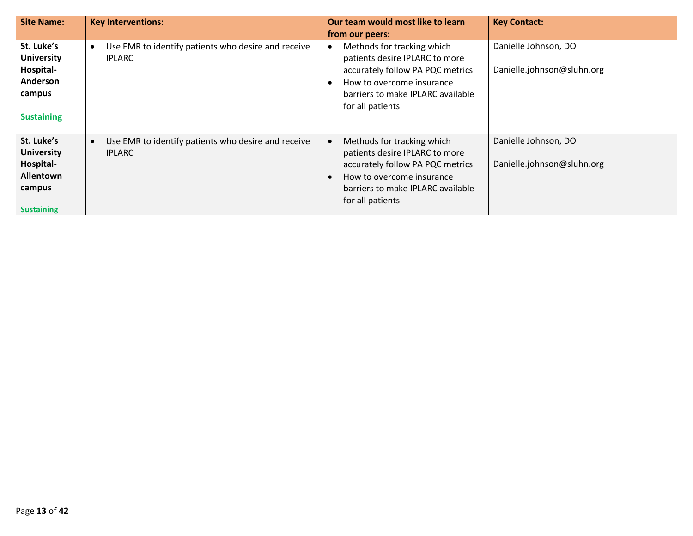| <b>Site Name:</b>                                                                               | <b>Key Interventions:</b>                                                         | Our team would most like to learn<br>from our peers:                                                                                                                                   | <b>Key Contact:</b>                                |
|-------------------------------------------------------------------------------------------------|-----------------------------------------------------------------------------------|----------------------------------------------------------------------------------------------------------------------------------------------------------------------------------------|----------------------------------------------------|
| St. Luke's<br><b>University</b><br>Hospital-<br>Anderson<br>campus<br><b>Sustaining</b>         | Use EMR to identify patients who desire and receive<br>$\bullet$<br><b>IPLARC</b> | Methods for tracking which<br>patients desire IPLARC to more<br>accurately follow PA PQC metrics<br>How to overcome insurance<br>barriers to make IPLARC available<br>for all patients | Danielle Johnson, DO<br>Danielle.johnson@sluhn.org |
| St. Luke's<br><b>University</b><br>Hospital-<br><b>Allentown</b><br>campus<br><b>Sustaining</b> | Use EMR to identify patients who desire and receive<br>$\bullet$<br><b>IPLARC</b> | Methods for tracking which<br>patients desire IPLARC to more<br>accurately follow PA PQC metrics<br>How to overcome insurance<br>barriers to make IPLARC available<br>for all patients | Danielle Johnson, DO<br>Danielle.johnson@sluhn.org |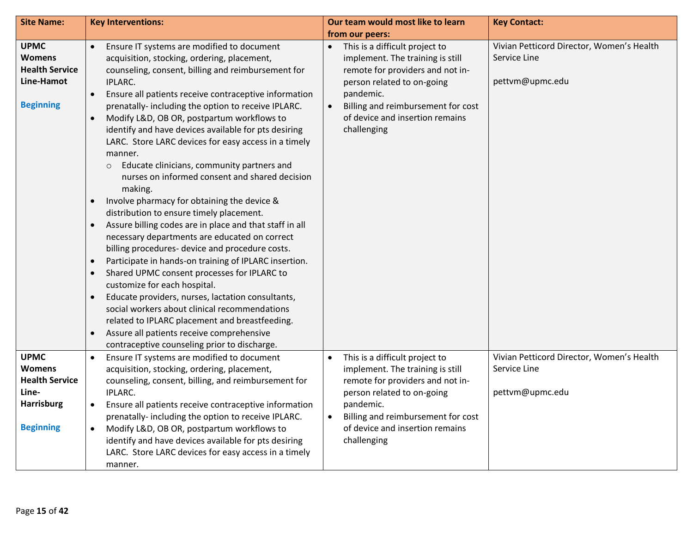| <b>Site Name:</b>                                                                                       | <b>Key Interventions:</b>                                                                                                                                                                                                                                                                                                                                                                                                                                                                                                                                                                                                                                                                                                                                                                                                                                                                                                                                                                                                                                                                                                                                                                                                                                                            | Our team would most like to learn                                                                                                                                                                                                                      | <b>Key Contact:</b>                                                          |  |
|---------------------------------------------------------------------------------------------------------|--------------------------------------------------------------------------------------------------------------------------------------------------------------------------------------------------------------------------------------------------------------------------------------------------------------------------------------------------------------------------------------------------------------------------------------------------------------------------------------------------------------------------------------------------------------------------------------------------------------------------------------------------------------------------------------------------------------------------------------------------------------------------------------------------------------------------------------------------------------------------------------------------------------------------------------------------------------------------------------------------------------------------------------------------------------------------------------------------------------------------------------------------------------------------------------------------------------------------------------------------------------------------------------|--------------------------------------------------------------------------------------------------------------------------------------------------------------------------------------------------------------------------------------------------------|------------------------------------------------------------------------------|--|
|                                                                                                         |                                                                                                                                                                                                                                                                                                                                                                                                                                                                                                                                                                                                                                                                                                                                                                                                                                                                                                                                                                                                                                                                                                                                                                                                                                                                                      | from our peers:                                                                                                                                                                                                                                        |                                                                              |  |
| <b>UPMC</b><br><b>Womens</b><br><b>Health Service</b><br>Line-Hamot<br><b>Beginning</b>                 | Ensure IT systems are modified to document<br>$\bullet$<br>acquisition, stocking, ordering, placement,<br>counseling, consent, billing and reimbursement for<br>IPLARC.<br>Ensure all patients receive contraceptive information<br>$\bullet$<br>prenatally- including the option to receive IPLARC.<br>Modify L&D, OB OR, postpartum workflows to<br>$\bullet$<br>identify and have devices available for pts desiring<br>LARC. Store LARC devices for easy access in a timely<br>manner.<br>Educate clinicians, community partners and<br>$\circ$<br>nurses on informed consent and shared decision<br>making.<br>Involve pharmacy for obtaining the device &<br>distribution to ensure timely placement.<br>Assure billing codes are in place and that staff in all<br>necessary departments are educated on correct<br>billing procedures- device and procedure costs.<br>Participate in hands-on training of IPLARC insertion.<br>Shared UPMC consent processes for IPLARC to<br>$\bullet$<br>customize for each hospital.<br>Educate providers, nurses, lactation consultants,<br>social workers about clinical recommendations<br>related to IPLARC placement and breastfeeding.<br>Assure all patients receive comprehensive<br>contraceptive counseling prior to discharge. | This is a difficult project to<br>implement. The training is still<br>remote for providers and not in-<br>person related to on-going<br>pandemic.<br>Billing and reimbursement for cost<br>of device and insertion remains<br>challenging              | Vivian Petticord Director, Women's Health<br>Service Line<br>pettvm@upmc.edu |  |
| <b>UPMC</b><br><b>Womens</b><br><b>Health Service</b><br>Line-<br><b>Harrisburg</b><br><b>Beginning</b> | Ensure IT systems are modified to document<br>$\bullet$<br>acquisition, stocking, ordering, placement,<br>counseling, consent, billing, and reimbursement for<br>IPLARC.<br>Ensure all patients receive contraceptive information<br>$\bullet$<br>prenatally- including the option to receive IPLARC.<br>Modify L&D, OB OR, postpartum workflows to<br>$\bullet$<br>identify and have devices available for pts desiring<br>LARC. Store LARC devices for easy access in a timely<br>manner.                                                                                                                                                                                                                                                                                                                                                                                                                                                                                                                                                                                                                                                                                                                                                                                          | This is a difficult project to<br>$\bullet$<br>implement. The training is still<br>remote for providers and not in-<br>person related to on-going<br>pandemic.<br>Billing and reimbursement for cost<br>of device and insertion remains<br>challenging | Vivian Petticord Director, Women's Health<br>Service Line<br>pettvm@upmc.edu |  |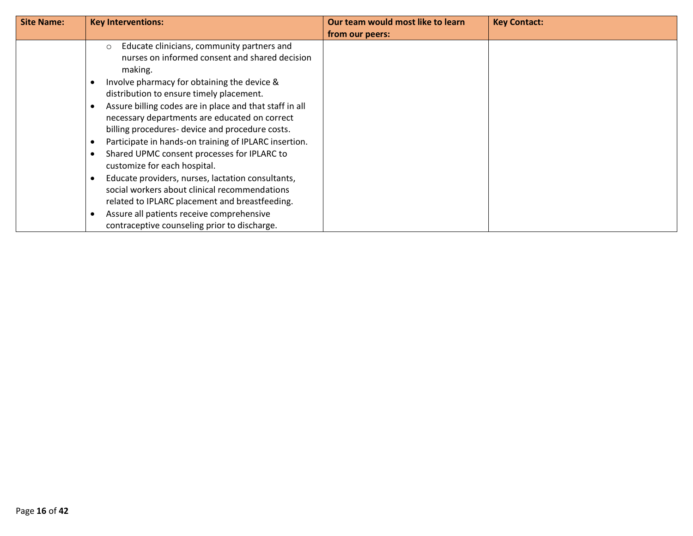| <b>Site Name:</b> | <b>Key Interventions:</b>                                                                                                                                                                                                                                                                                                                                                                                                                                                                                                                                                                                                                                                                                                                                                                                                                  | Our team would most like to learn | <b>Key Contact:</b> |
|-------------------|--------------------------------------------------------------------------------------------------------------------------------------------------------------------------------------------------------------------------------------------------------------------------------------------------------------------------------------------------------------------------------------------------------------------------------------------------------------------------------------------------------------------------------------------------------------------------------------------------------------------------------------------------------------------------------------------------------------------------------------------------------------------------------------------------------------------------------------------|-----------------------------------|---------------------|
|                   |                                                                                                                                                                                                                                                                                                                                                                                                                                                                                                                                                                                                                                                                                                                                                                                                                                            | from our peers:                   |                     |
|                   | Educate clinicians, community partners and<br>$\circ$<br>nurses on informed consent and shared decision<br>making.<br>Involve pharmacy for obtaining the device &<br>$\bullet$<br>distribution to ensure timely placement.<br>Assure billing codes are in place and that staff in all<br>$\bullet$<br>necessary departments are educated on correct<br>billing procedures- device and procedure costs.<br>Participate in hands-on training of IPLARC insertion.<br>$\bullet$<br>Shared UPMC consent processes for IPLARC to<br>customize for each hospital.<br>Educate providers, nurses, lactation consultants,<br>$\bullet$<br>social workers about clinical recommendations<br>related to IPLARC placement and breastfeeding.<br>Assure all patients receive comprehensive<br>$\bullet$<br>contraceptive counseling prior to discharge. |                                   |                     |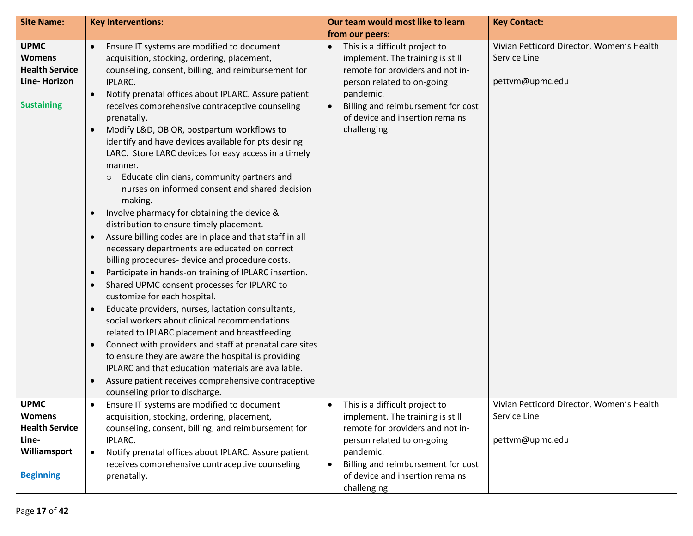| <b>Site Name:</b>                                                                                  | <b>Key Interventions:</b>                                                                                                                                                                                                                                                                                                                                                                                                                                                                                                                                                                                                                                                                                                                                                                                                                                                                                                                                                                                                                                                                                                              | Our team would most like to learn                                                                                                                                                                                                                                   | <b>Key Contact:</b>                                                          |  |
|----------------------------------------------------------------------------------------------------|----------------------------------------------------------------------------------------------------------------------------------------------------------------------------------------------------------------------------------------------------------------------------------------------------------------------------------------------------------------------------------------------------------------------------------------------------------------------------------------------------------------------------------------------------------------------------------------------------------------------------------------------------------------------------------------------------------------------------------------------------------------------------------------------------------------------------------------------------------------------------------------------------------------------------------------------------------------------------------------------------------------------------------------------------------------------------------------------------------------------------------------|---------------------------------------------------------------------------------------------------------------------------------------------------------------------------------------------------------------------------------------------------------------------|------------------------------------------------------------------------------|--|
|                                                                                                    |                                                                                                                                                                                                                                                                                                                                                                                                                                                                                                                                                                                                                                                                                                                                                                                                                                                                                                                                                                                                                                                                                                                                        | from our peers:                                                                                                                                                                                                                                                     |                                                                              |  |
| <b>UPMC</b><br><b>Womens</b><br><b>Health Service</b><br>Line-Horizon<br><b>Sustaining</b>         | Ensure IT systems are modified to document<br>$\bullet$<br>acquisition, stocking, ordering, placement,<br>counseling, consent, billing, and reimbursement for<br>IPLARC.<br>Notify prenatal offices about IPLARC. Assure patient<br>$\bullet$<br>receives comprehensive contraceptive counseling<br>prenatally.<br>Modify L&D, OB OR, postpartum workflows to<br>identify and have devices available for pts desiring<br>LARC. Store LARC devices for easy access in a timely<br>manner.<br>Educate clinicians, community partners and<br>$\circ$<br>nurses on informed consent and shared decision<br>making.<br>Involve pharmacy for obtaining the device &<br>$\bullet$<br>distribution to ensure timely placement.<br>Assure billing codes are in place and that staff in all<br>$\bullet$<br>necessary departments are educated on correct<br>billing procedures- device and procedure costs.<br>Participate in hands-on training of IPLARC insertion.<br>$\bullet$<br>Shared UPMC consent processes for IPLARC to<br>$\bullet$<br>customize for each hospital.<br>Educate providers, nurses, lactation consultants,<br>$\bullet$ | This is a difficult project to<br>$\bullet$<br>implement. The training is still<br>remote for providers and not in-<br>person related to on-going<br>pandemic.<br>Billing and reimbursement for cost<br>$\bullet$<br>of device and insertion remains<br>challenging | Vivian Petticord Director, Women's Health<br>Service Line<br>pettvm@upmc.edu |  |
|                                                                                                    | social workers about clinical recommendations<br>related to IPLARC placement and breastfeeding.<br>Connect with providers and staff at prenatal care sites<br>to ensure they are aware the hospital is providing<br>IPLARC and that education materials are available.<br>Assure patient receives comprehensive contraceptive<br>counseling prior to discharge.                                                                                                                                                                                                                                                                                                                                                                                                                                                                                                                                                                                                                                                                                                                                                                        |                                                                                                                                                                                                                                                                     |                                                                              |  |
| <b>UPMC</b><br><b>Womens</b><br><b>Health Service</b><br>Line-<br>Williamsport<br><b>Beginning</b> | Ensure IT systems are modified to document<br>$\bullet$<br>acquisition, stocking, ordering, placement,<br>counseling, consent, billing, and reimbursement for<br>IPLARC.<br>Notify prenatal offices about IPLARC. Assure patient<br>$\bullet$<br>receives comprehensive contraceptive counseling<br>prenatally.                                                                                                                                                                                                                                                                                                                                                                                                                                                                                                                                                                                                                                                                                                                                                                                                                        | This is a difficult project to<br>$\bullet$<br>implement. The training is still<br>remote for providers and not in-<br>person related to on-going<br>pandemic.<br>Billing and reimbursement for cost<br>$\bullet$<br>of device and insertion remains<br>challenging | Vivian Petticord Director, Women's Health<br>Service Line<br>pettvm@upmc.edu |  |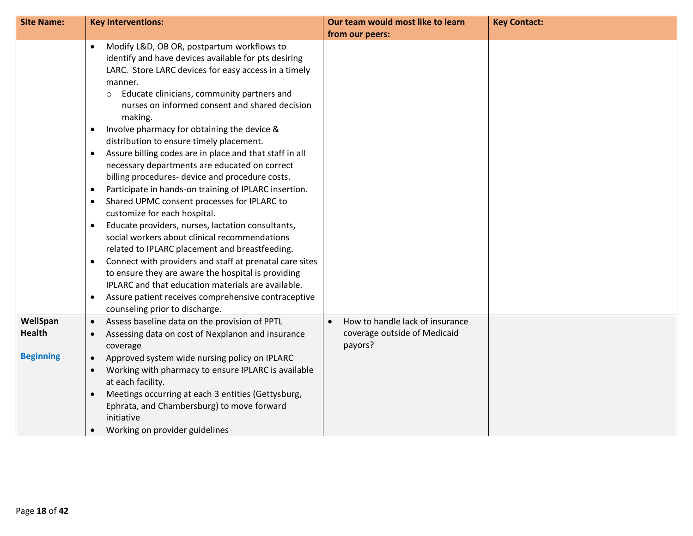| <b>Site Name:</b> | <b>Key Interventions:</b>                                                             | Our team would most like to learn            | <b>Key Contact:</b> |
|-------------------|---------------------------------------------------------------------------------------|----------------------------------------------|---------------------|
|                   |                                                                                       | from our peers:                              |                     |
|                   | Modify L&D, OB OR, postpartum workflows to<br>$\bullet$                               |                                              |                     |
|                   | identify and have devices available for pts desiring                                  |                                              |                     |
|                   | LARC. Store LARC devices for easy access in a timely                                  |                                              |                     |
|                   | manner.                                                                               |                                              |                     |
|                   | Educate clinicians, community partners and<br>$\circ$                                 |                                              |                     |
|                   | nurses on informed consent and shared decision                                        |                                              |                     |
|                   | making.                                                                               |                                              |                     |
|                   | Involve pharmacy for obtaining the device &<br>$\bullet$                              |                                              |                     |
|                   | distribution to ensure timely placement.                                              |                                              |                     |
|                   | Assure billing codes are in place and that staff in all<br>$\bullet$                  |                                              |                     |
|                   | necessary departments are educated on correct                                         |                                              |                     |
|                   | billing procedures- device and procedure costs.                                       |                                              |                     |
|                   | Participate in hands-on training of IPLARC insertion.<br>$\bullet$                    |                                              |                     |
|                   | Shared UPMC consent processes for IPLARC to<br>$\bullet$                              |                                              |                     |
|                   | customize for each hospital.                                                          |                                              |                     |
|                   | Educate providers, nurses, lactation consultants,<br>$\bullet$                        |                                              |                     |
|                   | social workers about clinical recommendations                                         |                                              |                     |
|                   | related to IPLARC placement and breastfeeding.                                        |                                              |                     |
|                   | Connect with providers and staff at prenatal care sites                               |                                              |                     |
|                   | to ensure they are aware the hospital is providing                                    |                                              |                     |
|                   | IPLARC and that education materials are available.                                    |                                              |                     |
|                   | Assure patient receives comprehensive contraceptive<br>$\bullet$                      |                                              |                     |
|                   | counseling prior to discharge.                                                        |                                              |                     |
| WellSpan          | Assess baseline data on the provision of PPTL<br>$\bullet$                            | How to handle lack of insurance<br>$\bullet$ |                     |
| <b>Health</b>     | Assessing data on cost of Nexplanon and insurance<br>$\bullet$                        | coverage outside of Medicaid                 |                     |
| <b>Beginning</b>  | coverage                                                                              | payors?                                      |                     |
|                   | Approved system wide nursing policy on IPLARC<br>$\bullet$                            |                                              |                     |
|                   | Working with pharmacy to ensure IPLARC is available<br>$\bullet$<br>at each facility. |                                              |                     |
|                   | Meetings occurring at each 3 entities (Gettysburg,<br>$\bullet$                       |                                              |                     |
|                   | Ephrata, and Chambersburg) to move forward                                            |                                              |                     |
|                   | initiative                                                                            |                                              |                     |
|                   | Working on provider guidelines<br>$\bullet$                                           |                                              |                     |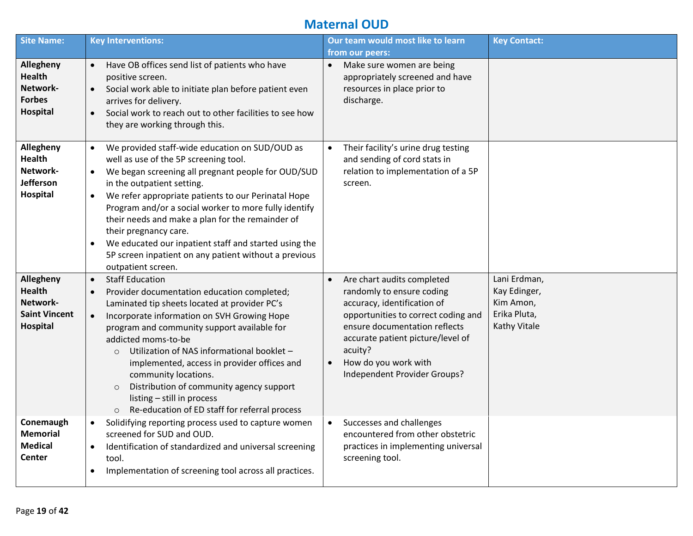#### **Maternal OUD**

| <b>Site Name:</b>                                                          | <b>Key Interventions:</b>                                                                                                                                                                                                                                                                                                                                                                                                                                                                                                                                            | Our team would most like to learn<br>from our peers:                                                                                                                                                                                                                                             | <b>Key Contact:</b>                                                              |
|----------------------------------------------------------------------------|----------------------------------------------------------------------------------------------------------------------------------------------------------------------------------------------------------------------------------------------------------------------------------------------------------------------------------------------------------------------------------------------------------------------------------------------------------------------------------------------------------------------------------------------------------------------|--------------------------------------------------------------------------------------------------------------------------------------------------------------------------------------------------------------------------------------------------------------------------------------------------|----------------------------------------------------------------------------------|
| Allegheny<br><b>Health</b><br>Network-<br><b>Forbes</b><br><b>Hospital</b> | Have OB offices send list of patients who have<br>$\bullet$<br>positive screen.<br>Social work able to initiate plan before patient even<br>$\bullet$<br>arrives for delivery.<br>Social work to reach out to other facilities to see how<br>$\bullet$<br>they are working through this.                                                                                                                                                                                                                                                                             | Make sure women are being<br>$\bullet$<br>appropriately screened and have<br>resources in place prior to<br>discharge.                                                                                                                                                                           |                                                                                  |
| Allegheny<br><b>Health</b><br>Network-<br>Jefferson<br>Hospital            | We provided staff-wide education on SUD/OUD as<br>$\bullet$<br>well as use of the 5P screening tool.<br>We began screening all pregnant people for OUD/SUD<br>$\bullet$<br>in the outpatient setting.<br>We refer appropriate patients to our Perinatal Hope<br>$\bullet$<br>Program and/or a social worker to more fully identify<br>their needs and make a plan for the remainder of<br>their pregnancy care.<br>We educated our inpatient staff and started using the<br>$\bullet$<br>5P screen inpatient on any patient without a previous<br>outpatient screen. | Their facility's urine drug testing<br>and sending of cord stats in<br>relation to implementation of a 5P<br>screen.                                                                                                                                                                             |                                                                                  |
| Allegheny<br><b>Health</b><br>Network-<br><b>Saint Vincent</b><br>Hospital | $\bullet$<br><b>Staff Education</b><br>Provider documentation education completed;<br>$\bullet$<br>Laminated tip sheets located at provider PC's<br>Incorporate information on SVH Growing Hope<br>$\bullet$<br>program and community support available for<br>addicted moms-to-be<br>Utilization of NAS informational booklet -<br>$\circ$<br>implemented, access in provider offices and<br>community locations.<br>Distribution of community agency support<br>$\circ$<br>listing - still in process<br>Re-education of ED staff for referral process<br>$\circ$  | Are chart audits completed<br>$\bullet$<br>randomly to ensure coding<br>accuracy, identification of<br>opportunities to correct coding and<br>ensure documentation reflects<br>accurate patient picture/level of<br>acuity?<br>How do you work with<br>$\bullet$<br>Independent Provider Groups? | Lani Erdman,<br>Kay Edinger,<br>Kim Amon,<br>Erika Pluta,<br><b>Kathy Vitale</b> |
| Conemaugh<br><b>Memorial</b><br><b>Medical</b><br>Center                   | Solidifying reporting process used to capture women<br>$\bullet$<br>screened for SUD and OUD.<br>Identification of standardized and universal screening<br>$\bullet$<br>tool.<br>Implementation of screening tool across all practices.<br>$\bullet$                                                                                                                                                                                                                                                                                                                 | Successes and challenges<br>$\bullet$<br>encountered from other obstetric<br>practices in implementing universal<br>screening tool.                                                                                                                                                              |                                                                                  |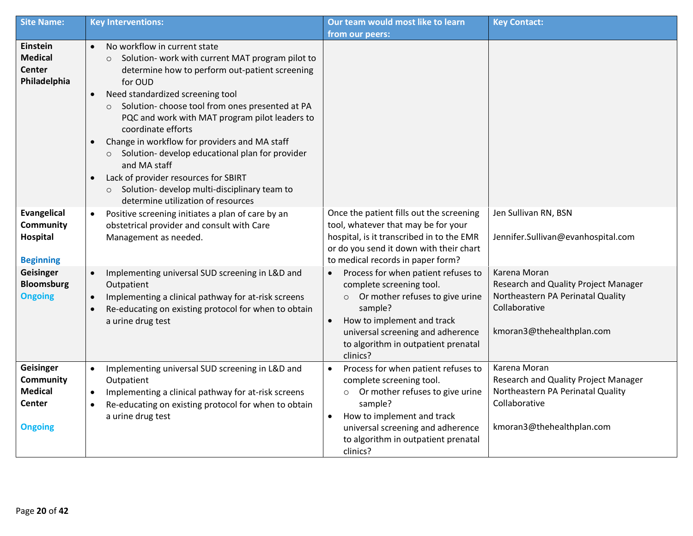| <b>Site Name:</b>                                                           | <b>Key Interventions:</b>                                                                                                                                                                                                                                                                                                                                   | Our team would most like to learn                                                                                                                                                                                                                                        | <b>Key Contact:</b>                                                                                                                     |
|-----------------------------------------------------------------------------|-------------------------------------------------------------------------------------------------------------------------------------------------------------------------------------------------------------------------------------------------------------------------------------------------------------------------------------------------------------|--------------------------------------------------------------------------------------------------------------------------------------------------------------------------------------------------------------------------------------------------------------------------|-----------------------------------------------------------------------------------------------------------------------------------------|
| <b>Einstein</b><br><b>Medical</b><br><b>Center</b><br>Philadelphia          | No workflow in current state<br>$\bullet$<br>Solution- work with current MAT program pilot to<br>$\circ$<br>determine how to perform out-patient screening<br>for OUD<br>Need standardized screening tool<br>$\bullet$<br>Solution-choose tool from ones presented at PA<br>$\circ$<br>PQC and work with MAT program pilot leaders to<br>coordinate efforts | from our peers:                                                                                                                                                                                                                                                          |                                                                                                                                         |
|                                                                             | Change in workflow for providers and MA staff<br>$\bullet$<br>Solution- develop educational plan for provider<br>$\circ$<br>and MA staff<br>Lack of provider resources for SBIRT<br>$\bullet$<br>Solution- develop multi-disciplinary team to<br>$\circ$<br>determine utilization of resources                                                              |                                                                                                                                                                                                                                                                          |                                                                                                                                         |
| <b>Evangelical</b><br>Community<br><b>Hospital</b><br><b>Beginning</b>      | Positive screening initiates a plan of care by an<br>$\bullet$<br>obstetrical provider and consult with Care<br>Management as needed.                                                                                                                                                                                                                       | Once the patient fills out the screening<br>tool, whatever that may be for your<br>hospital, is it transcribed in to the EMR<br>or do you send it down with their chart<br>to medical records in paper form?                                                             | Jen Sullivan RN, BSN<br>Jennifer.Sullivan@evanhospital.com                                                                              |
| Geisinger<br><b>Bloomsburg</b><br><b>Ongoing</b>                            | Implementing universal SUD screening in L&D and<br>$\bullet$<br>Outpatient<br>Implementing a clinical pathway for at-risk screens<br>$\bullet$<br>Re-educating on existing protocol for when to obtain<br>$\bullet$<br>a urine drug test                                                                                                                    | Process for when patient refuses to<br>$\bullet$<br>complete screening tool.<br>Or mother refuses to give urine<br>$\circ$<br>sample?<br>How to implement and track<br>$\bullet$<br>universal screening and adherence<br>to algorithm in outpatient prenatal<br>clinics? | Karena Moran<br>Research and Quality Project Manager<br>Northeastern PA Perinatal Quality<br>Collaborative<br>kmoran3@thehealthplan.com |
| Geisinger<br>Community<br><b>Medical</b><br><b>Center</b><br><b>Ongoing</b> | Implementing universal SUD screening in L&D and<br>$\bullet$<br>Outpatient<br>Implementing a clinical pathway for at-risk screens<br>$\bullet$<br>Re-educating on existing protocol for when to obtain<br>$\bullet$<br>a urine drug test                                                                                                                    | Process for when patient refuses to<br>$\bullet$<br>complete screening tool.<br>Or mother refuses to give urine<br>$\circ$<br>sample?<br>How to implement and track<br>$\bullet$<br>universal screening and adherence<br>to algorithm in outpatient prenatal<br>clinics? | Karena Moran<br>Research and Quality Project Manager<br>Northeastern PA Perinatal Quality<br>Collaborative<br>kmoran3@thehealthplan.com |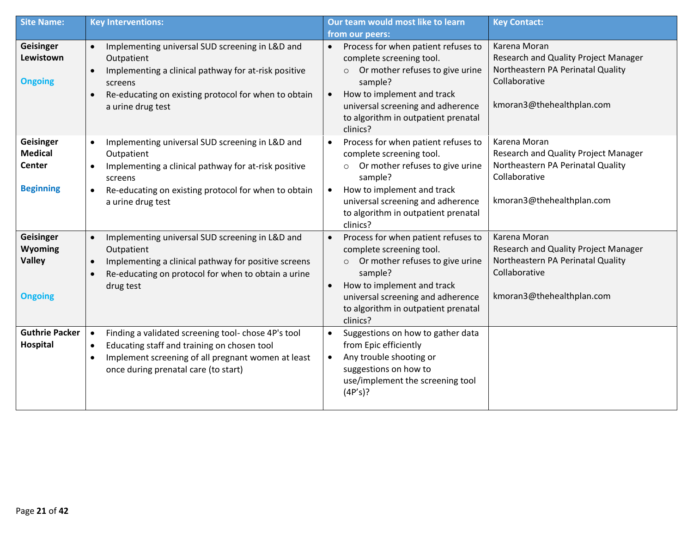| <b>Site Name:</b>                                                | <b>Key Interventions:</b>                                                                                                                                                                                                                            | Our team would most like to learn                                                                                                                                                                                                                                        | <b>Key Contact:</b>                                                                                                                     |
|------------------------------------------------------------------|------------------------------------------------------------------------------------------------------------------------------------------------------------------------------------------------------------------------------------------------------|--------------------------------------------------------------------------------------------------------------------------------------------------------------------------------------------------------------------------------------------------------------------------|-----------------------------------------------------------------------------------------------------------------------------------------|
|                                                                  |                                                                                                                                                                                                                                                      | from our peers:                                                                                                                                                                                                                                                          |                                                                                                                                         |
| <b>Geisinger</b><br>Lewistown<br><b>Ongoing</b>                  | Implementing universal SUD screening in L&D and<br>$\bullet$<br>Outpatient<br>Implementing a clinical pathway for at-risk positive<br>$\bullet$<br>screens<br>Re-educating on existing protocol for when to obtain<br>$\bullet$<br>a urine drug test | Process for when patient refuses to<br>$\bullet$<br>complete screening tool.<br>Or mother refuses to give urine<br>$\circ$<br>sample?<br>How to implement and track<br>$\bullet$<br>universal screening and adherence<br>to algorithm in outpatient prenatal<br>clinics? | Karena Moran<br>Research and Quality Project Manager<br>Northeastern PA Perinatal Quality<br>Collaborative<br>kmoran3@thehealthplan.com |
| <b>Geisinger</b><br><b>Medical</b><br>Center<br><b>Beginning</b> | Implementing universal SUD screening in L&D and<br>$\bullet$<br>Outpatient<br>Implementing a clinical pathway for at-risk positive<br>$\bullet$<br>screens<br>Re-educating on existing protocol for when to obtain<br>$\bullet$<br>a urine drug test | Process for when patient refuses to<br>$\bullet$<br>complete screening tool.<br>Or mother refuses to give urine<br>$\circ$<br>sample?<br>How to implement and track<br>$\bullet$<br>universal screening and adherence                                                    | Karena Moran<br>Research and Quality Project Manager<br>Northeastern PA Perinatal Quality<br>Collaborative<br>kmoran3@thehealthplan.com |
|                                                                  |                                                                                                                                                                                                                                                      | to algorithm in outpatient prenatal<br>clinics?                                                                                                                                                                                                                          |                                                                                                                                         |
| <b>Geisinger</b><br>Wyoming<br><b>Valley</b><br><b>Ongoing</b>   | Implementing universal SUD screening in L&D and<br>$\bullet$<br>Outpatient<br>Implementing a clinical pathway for positive screens<br>$\bullet$<br>Re-educating on protocol for when to obtain a urine<br>$\bullet$<br>drug test                     | Process for when patient refuses to<br>$\bullet$<br>complete screening tool.<br>Or mother refuses to give urine<br>$\circ$<br>sample?<br>How to implement and track<br>$\bullet$<br>universal screening and adherence<br>to algorithm in outpatient prenatal             | Karena Moran<br>Research and Quality Project Manager<br>Northeastern PA Perinatal Quality<br>Collaborative<br>kmoran3@thehealthplan.com |
|                                                                  |                                                                                                                                                                                                                                                      | clinics?                                                                                                                                                                                                                                                                 |                                                                                                                                         |
| <b>Guthrie Packer</b><br>Hospital                                | Finding a validated screening tool-chose 4P's tool<br>$\bullet$<br>Educating staff and training on chosen tool<br>$\bullet$<br>Implement screening of all pregnant women at least<br>$\bullet$<br>once during prenatal care (to start)               | Suggestions on how to gather data<br>$\bullet$<br>from Epic efficiently<br>Any trouble shooting or<br>$\bullet$<br>suggestions on how to<br>use/implement the screening tool<br>(4P's)?                                                                                  |                                                                                                                                         |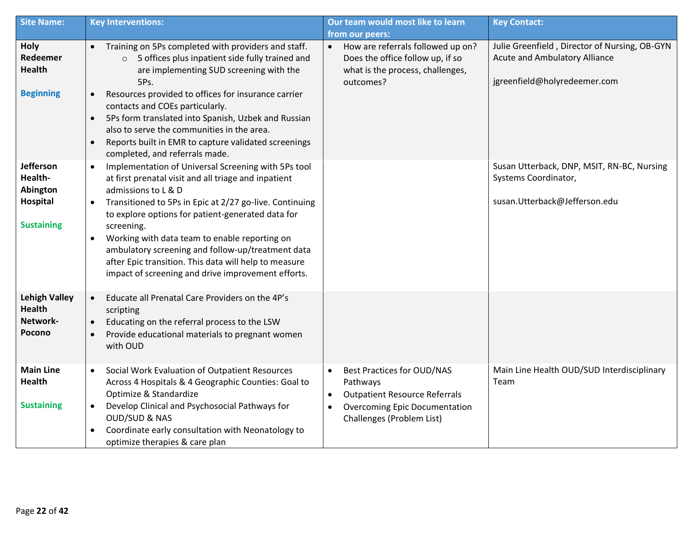| <b>Site Name:</b>                                                 | <b>Key Interventions:</b>                                                                                                                                                                                                                                                                                                                                                                                                                                                                                                    | Our team would most like to learn                                                                                                                                       | <b>Key Contact:</b>                                                                                                   |  |
|-------------------------------------------------------------------|------------------------------------------------------------------------------------------------------------------------------------------------------------------------------------------------------------------------------------------------------------------------------------------------------------------------------------------------------------------------------------------------------------------------------------------------------------------------------------------------------------------------------|-------------------------------------------------------------------------------------------------------------------------------------------------------------------------|-----------------------------------------------------------------------------------------------------------------------|--|
|                                                                   |                                                                                                                                                                                                                                                                                                                                                                                                                                                                                                                              | from our peers:                                                                                                                                                         |                                                                                                                       |  |
| Holy<br>Redeemer<br><b>Health</b>                                 | Training on 5Ps completed with providers and staff.<br>$\bullet$<br>5 offices plus inpatient side fully trained and<br>$\circ$<br>are implementing SUD screening with the<br>5Ps.                                                                                                                                                                                                                                                                                                                                            | How are referrals followed up on?<br>$\bullet$<br>Does the office follow up, if so<br>what is the process, challenges,<br>outcomes?                                     | Julie Greenfield, Director of Nursing, OB-GYN<br><b>Acute and Ambulatory Alliance</b><br>jgreenfield@holyredeemer.com |  |
| <b>Beginning</b>                                                  | Resources provided to offices for insurance carrier<br>$\bullet$<br>contacts and COEs particularly.<br>5Ps form translated into Spanish, Uzbek and Russian<br>$\bullet$<br>also to serve the communities in the area.<br>Reports built in EMR to capture validated screenings<br>$\bullet$<br>completed, and referrals made.                                                                                                                                                                                                 |                                                                                                                                                                         |                                                                                                                       |  |
| Jefferson<br>Health-<br>Abington<br>Hospital<br><b>Sustaining</b> | Implementation of Universal Screening with 5Ps tool<br>$\bullet$<br>at first prenatal visit and all triage and inpatient<br>admissions to L & D<br>Transitioned to 5Ps in Epic at 2/27 go-live. Continuing<br>$\bullet$<br>to explore options for patient-generated data for<br>screening.<br>Working with data team to enable reporting on<br>$\bullet$<br>ambulatory screening and follow-up/treatment data<br>after Epic transition. This data will help to measure<br>impact of screening and drive improvement efforts. |                                                                                                                                                                         | Susan Utterback, DNP, MSIT, RN-BC, Nursing<br>Systems Coordinator,<br>susan.Utterback@Jefferson.edu                   |  |
| <b>Lehigh Valley</b><br><b>Health</b><br>Network-<br>Pocono       | Educate all Prenatal Care Providers on the 4P's<br>$\bullet$<br>scripting<br>Educating on the referral process to the LSW<br>$\bullet$<br>Provide educational materials to pregnant women<br>$\bullet$<br>with OUD                                                                                                                                                                                                                                                                                                           |                                                                                                                                                                         |                                                                                                                       |  |
| <b>Main Line</b><br>Health<br><b>Sustaining</b>                   | Social Work Evaluation of Outpatient Resources<br>$\bullet$<br>Across 4 Hospitals & 4 Geographic Counties: Goal to<br>Optimize & Standardize<br>Develop Clinical and Psychosocial Pathways for<br>$\bullet$<br><b>OUD/SUD &amp; NAS</b><br>Coordinate early consultation with Neonatology to<br>$\bullet$<br>optimize therapies & care plan                                                                                                                                                                                  | <b>Best Practices for OUD/NAS</b><br>Pathways<br><b>Outpatient Resource Referrals</b><br><b>Overcoming Epic Documentation</b><br>$\bullet$<br>Challenges (Problem List) | Main Line Health OUD/SUD Interdisciplinary<br>Team                                                                    |  |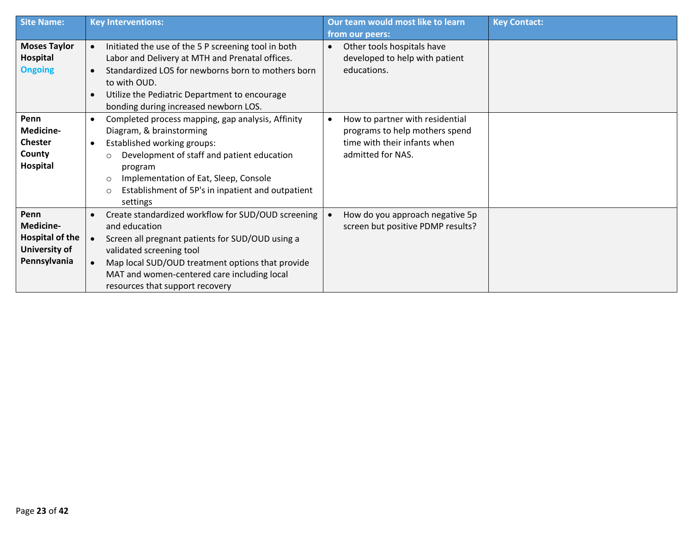| <b>Site Name:</b>   | <b>Key Interventions:</b>                |                                                     |           | Our team would most like to learn | <b>Key Contact:</b> |
|---------------------|------------------------------------------|-----------------------------------------------------|-----------|-----------------------------------|---------------------|
|                     |                                          |                                                     |           | from our peers:                   |                     |
| <b>Moses Taylor</b> | $\bullet$                                | Initiated the use of the 5 P screening tool in both | $\bullet$ | Other tools hospitals have        |                     |
| Hospital            |                                          | Labor and Delivery at MTH and Prenatal offices.     |           | developed to help with patient    |                     |
| <b>Ongoing</b>      | $\bullet$                                | Standardized LOS for newborns born to mothers born  |           | educations.                       |                     |
|                     | to with OUD.                             |                                                     |           |                                   |                     |
|                     | $\bullet$                                | Utilize the Pediatric Department to encourage       |           |                                   |                     |
|                     | bonding during increased newborn LOS.    |                                                     |           |                                   |                     |
| Penn                | $\bullet$                                | Completed process mapping, gap analysis, Affinity   | $\bullet$ | How to partner with residential   |                     |
| Medicine-           | Diagram, & brainstorming                 |                                                     |           | programs to help mothers spend    |                     |
| <b>Chester</b>      | Established working groups:<br>$\bullet$ |                                                     |           | time with their infants when      |                     |
| County              | $\circ$                                  | Development of staff and patient education          |           | admitted for NAS.                 |                     |
| Hospital            | program                                  |                                                     |           |                                   |                     |
|                     | $\circ$                                  | Implementation of Eat, Sleep, Console               |           |                                   |                     |
|                     | $\circ$                                  | Establishment of 5P's in inpatient and outpatient   |           |                                   |                     |
|                     | settings                                 |                                                     |           |                                   |                     |
| Penn                |                                          | Create standardized workflow for SUD/OUD screening  |           | How do you approach negative 5p   |                     |
| Medicine-           | and education                            |                                                     |           | screen but positive PDMP results? |                     |
| Hospital of the     |                                          | Screen all pregnant patients for SUD/OUD using a    |           |                                   |                     |
| University of       | validated screening tool                 |                                                     |           |                                   |                     |
| Pennsylvania        |                                          | Map local SUD/OUD treatment options that provide    |           |                                   |                     |
|                     |                                          | MAT and women-centered care including local         |           |                                   |                     |
|                     | resources that support recovery          |                                                     |           |                                   |                     |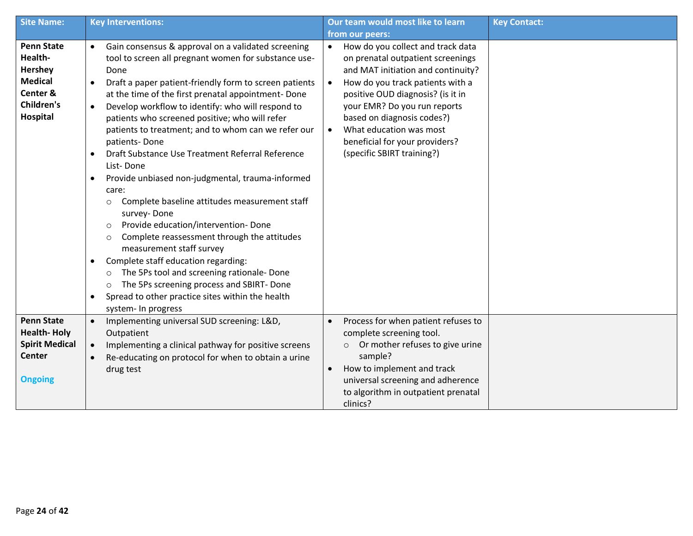| <b>Site Name:</b>                                                                                      | <b>Key Interventions:</b>                                                                                                                                                                                                                                                                                                                                                                                                                                                                                                                                                                                                                                                                                                                                                                                                                                                                                                                                                                                                                                                                         | Our team would most like to learn                                                                                                                                                                                                                                                                                                                                        | <b>Key Contact:</b> |
|--------------------------------------------------------------------------------------------------------|---------------------------------------------------------------------------------------------------------------------------------------------------------------------------------------------------------------------------------------------------------------------------------------------------------------------------------------------------------------------------------------------------------------------------------------------------------------------------------------------------------------------------------------------------------------------------------------------------------------------------------------------------------------------------------------------------------------------------------------------------------------------------------------------------------------------------------------------------------------------------------------------------------------------------------------------------------------------------------------------------------------------------------------------------------------------------------------------------|--------------------------------------------------------------------------------------------------------------------------------------------------------------------------------------------------------------------------------------------------------------------------------------------------------------------------------------------------------------------------|---------------------|
|                                                                                                        |                                                                                                                                                                                                                                                                                                                                                                                                                                                                                                                                                                                                                                                                                                                                                                                                                                                                                                                                                                                                                                                                                                   | from our peers:                                                                                                                                                                                                                                                                                                                                                          |                     |
| <b>Penn State</b><br>Health-<br>Hershey<br><b>Medical</b><br>Center &<br><b>Children's</b><br>Hospital | Gain consensus & approval on a validated screening<br>$\bullet$<br>tool to screen all pregnant women for substance use-<br>Done<br>Draft a paper patient-friendly form to screen patients<br>$\bullet$<br>at the time of the first prenatal appointment- Done<br>Develop workflow to identify: who will respond to<br>$\bullet$<br>patients who screened positive; who will refer<br>patients to treatment; and to whom can we refer our<br>patients-Done<br>Draft Substance Use Treatment Referral Reference<br>$\bullet$<br>List-Done<br>Provide unbiased non-judgmental, trauma-informed<br>$\bullet$<br>care:<br>Complete baseline attitudes measurement staff<br>$\circ$<br>survey-Done<br>Provide education/intervention-Done<br>$\circ$<br>Complete reassessment through the attitudes<br>$\circ$<br>measurement staff survey<br>Complete staff education regarding:<br>$\bullet$<br>The 5Ps tool and screening rationale- Done<br>$\circ$<br>The 5Ps screening process and SBIRT- Done<br>$\circ$<br>Spread to other practice sites within the health<br>$\bullet$<br>system- In progress | How do you collect and track data<br>$\bullet$<br>on prenatal outpatient screenings<br>and MAT initiation and continuity?<br>How do you track patients with a<br>positive OUD diagnosis? (is it in<br>your EMR? Do you run reports<br>based on diagnosis codes?)<br>What education was most<br>$\bullet$<br>beneficial for your providers?<br>(specific SBIRT training?) |                     |
| <b>Penn State</b><br><b>Health-Holy</b><br><b>Spirit Medical</b><br><b>Center</b><br><b>Ongoing</b>    | Implementing universal SUD screening: L&D,<br>$\bullet$<br>Outpatient<br>$\bullet$<br>Implementing a clinical pathway for positive screens<br>Re-educating on protocol for when to obtain a urine<br>$\bullet$<br>drug test                                                                                                                                                                                                                                                                                                                                                                                                                                                                                                                                                                                                                                                                                                                                                                                                                                                                       | Process for when patient refuses to<br>$\bullet$<br>complete screening tool.<br>Or mother refuses to give urine<br>$\circ$<br>sample?<br>How to implement and track<br>$\bullet$<br>universal screening and adherence<br>to algorithm in outpatient prenatal<br>clinics?                                                                                                 |                     |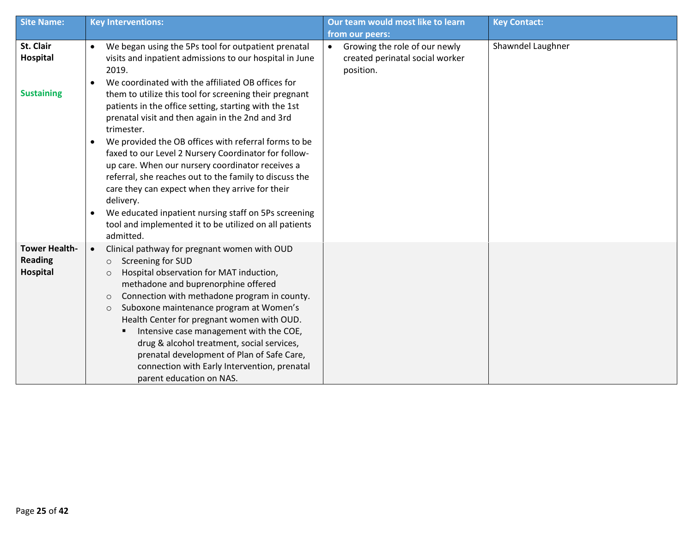| <b>Site Name:</b>                                  | <b>Key Interventions:</b>                                                                                                                                                                                                                                                                                                                                                                                                                                                                                                                                                                                                   | Our team would most like to learn                                                          | <b>Key Contact:</b> |
|----------------------------------------------------|-----------------------------------------------------------------------------------------------------------------------------------------------------------------------------------------------------------------------------------------------------------------------------------------------------------------------------------------------------------------------------------------------------------------------------------------------------------------------------------------------------------------------------------------------------------------------------------------------------------------------------|--------------------------------------------------------------------------------------------|---------------------|
|                                                    |                                                                                                                                                                                                                                                                                                                                                                                                                                                                                                                                                                                                                             | from our peers:                                                                            |                     |
| St. Clair<br>Hospital                              | We began using the 5Ps tool for outpatient prenatal<br>$\bullet$<br>visits and inpatient admissions to our hospital in June<br>2019.<br>We coordinated with the affiliated OB offices for<br>$\bullet$                                                                                                                                                                                                                                                                                                                                                                                                                      | Growing the role of our newly<br>$\bullet$<br>created perinatal social worker<br>position. | Shawndel Laughner   |
| <b>Sustaining</b>                                  | them to utilize this tool for screening their pregnant<br>patients in the office setting, starting with the 1st<br>prenatal visit and then again in the 2nd and 3rd<br>trimester.<br>We provided the OB offices with referral forms to be<br>$\bullet$<br>faxed to our Level 2 Nursery Coordinator for follow-<br>up care. When our nursery coordinator receives a<br>referral, she reaches out to the family to discuss the<br>care they can expect when they arrive for their<br>delivery.<br>We educated inpatient nursing staff on 5Ps screening<br>$\bullet$<br>tool and implemented it to be utilized on all patients |                                                                                            |                     |
|                                                    | admitted                                                                                                                                                                                                                                                                                                                                                                                                                                                                                                                                                                                                                    |                                                                                            |                     |
| <b>Tower Health-</b><br><b>Reading</b><br>Hospital | Clinical pathway for pregnant women with OUD<br>$\bullet$<br>Screening for SUD<br>$\circ$<br>Hospital observation for MAT induction,<br>$\circ$<br>methadone and buprenorphine offered<br>Connection with methadone program in county.<br>$\circ$<br>Suboxone maintenance program at Women's<br>$\circ$<br>Health Center for pregnant women with OUD.<br>Intensive case management with the COE,<br>drug & alcohol treatment, social services,<br>prenatal development of Plan of Safe Care,<br>connection with Early Intervention, prenatal<br>parent education on NAS.                                                    |                                                                                            |                     |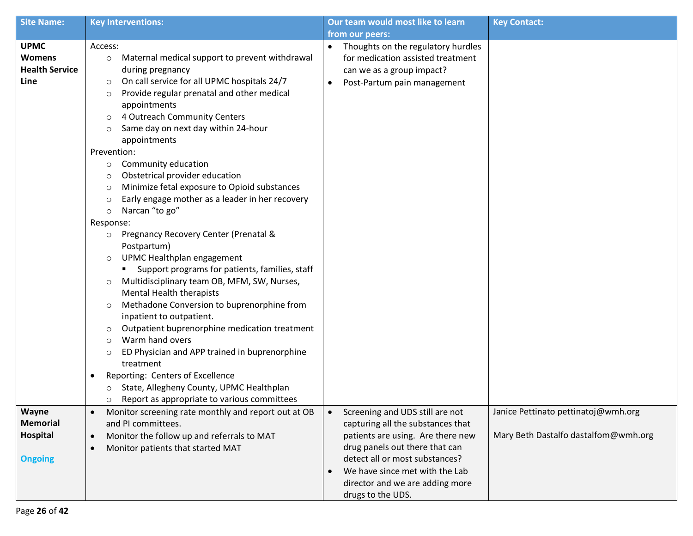| <b>Site Name:</b>                                             | <b>Key Interventions:</b>                                                                                                                                                                                                                                                                                                                                                                                                                                                                                                                                                                                                                                                                                                                                                                                                                                                                                                                                                                                                                                                                                                                                                                                                    | Our team would most like to learn                                                                                                                                       | <b>Key Contact:</b>                  |
|---------------------------------------------------------------|------------------------------------------------------------------------------------------------------------------------------------------------------------------------------------------------------------------------------------------------------------------------------------------------------------------------------------------------------------------------------------------------------------------------------------------------------------------------------------------------------------------------------------------------------------------------------------------------------------------------------------------------------------------------------------------------------------------------------------------------------------------------------------------------------------------------------------------------------------------------------------------------------------------------------------------------------------------------------------------------------------------------------------------------------------------------------------------------------------------------------------------------------------------------------------------------------------------------------|-------------------------------------------------------------------------------------------------------------------------------------------------------------------------|--------------------------------------|
|                                                               |                                                                                                                                                                                                                                                                                                                                                                                                                                                                                                                                                                                                                                                                                                                                                                                                                                                                                                                                                                                                                                                                                                                                                                                                                              | from our peers:                                                                                                                                                         |                                      |
| <b>UPMC</b><br><b>Womens</b><br><b>Health Service</b><br>Line | Access:<br>Maternal medical support to prevent withdrawal<br>$\circ$<br>during pregnancy<br>On call service for all UPMC hospitals 24/7<br>$\circ$<br>Provide regular prenatal and other medical<br>$\circ$<br>appointments<br>4 Outreach Community Centers<br>$\circ$<br>Same day on next day within 24-hour<br>$\circ$<br>appointments<br>Prevention:<br>Community education<br>$\circ$<br>Obstetrical provider education<br>$\circ$<br>Minimize fetal exposure to Opioid substances<br>$\circ$<br>Early engage mother as a leader in her recovery<br>$\circ$<br>Narcan "to go"<br>$\circ$<br>Response:<br>Pregnancy Recovery Center (Prenatal &<br>$\circ$<br>Postpartum)<br>UPMC Healthplan engagement<br>$\circ$<br>Support programs for patients, families, staff<br>Multidisciplinary team OB, MFM, SW, Nurses,<br>$\circ$<br><b>Mental Health therapists</b><br>Methadone Conversion to buprenorphine from<br>$\circ$<br>inpatient to outpatient.<br>Outpatient buprenorphine medication treatment<br>$\circ$<br>Warm hand overs<br>$\circ$<br>ED Physician and APP trained in buprenorphine<br>$\circ$<br>treatment<br>Reporting: Centers of Excellence<br>٠<br>State, Allegheny County, UPMC Healthplan<br>$\circ$ | Thoughts on the regulatory hurdles<br>for medication assisted treatment<br>can we as a group impact?<br>Post-Partum pain management                                     |                                      |
| Wayne                                                         | Report as appropriate to various committees<br>$\circ$<br>Monitor screening rate monthly and report out at OB<br>$\bullet$                                                                                                                                                                                                                                                                                                                                                                                                                                                                                                                                                                                                                                                                                                                                                                                                                                                                                                                                                                                                                                                                                                   | Screening and UDS still are not<br>$\bullet$                                                                                                                            | Janice Pettinato pettinatoj@wmh.org  |
| <b>Memorial</b>                                               | and PI committees.                                                                                                                                                                                                                                                                                                                                                                                                                                                                                                                                                                                                                                                                                                                                                                                                                                                                                                                                                                                                                                                                                                                                                                                                           | capturing all the substances that                                                                                                                                       |                                      |
| Hospital                                                      | Monitor the follow up and referrals to MAT<br>$\bullet$                                                                                                                                                                                                                                                                                                                                                                                                                                                                                                                                                                                                                                                                                                                                                                                                                                                                                                                                                                                                                                                                                                                                                                      | patients are using. Are there new                                                                                                                                       | Mary Beth Dastalfo dastalfom@wmh.org |
| <b>Ongoing</b>                                                | Monitor patients that started MAT<br>$\bullet$                                                                                                                                                                                                                                                                                                                                                                                                                                                                                                                                                                                                                                                                                                                                                                                                                                                                                                                                                                                                                                                                                                                                                                               | drug panels out there that can<br>detect all or most substances?<br>We have since met with the Lab<br>$\bullet$<br>director and we are adding more<br>drugs to the UDS. |                                      |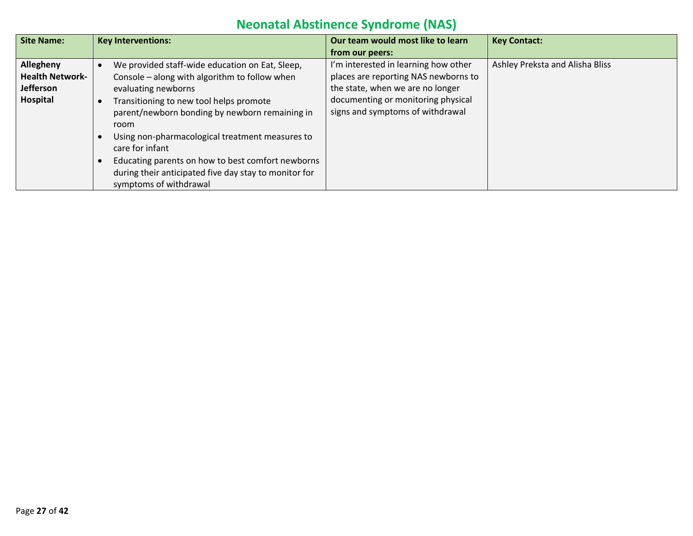# **Neonatal Abstinence Syndrome (NAS)**

| <b>Site Name:</b>      | <b>Key Interventions:</b>                             | Our team would most like to learn    | <b>Key Contact:</b>             |
|------------------------|-------------------------------------------------------|--------------------------------------|---------------------------------|
|                        |                                                       | from our peers:                      |                                 |
| Allegheny              | We provided staff-wide education on Eat, Sleep,       | I'm interested in learning how other | Ashley Preksta and Alisha Bliss |
| <b>Health Network-</b> | Console – along with algorithm to follow when         | places are reporting NAS newborns to |                                 |
| <b>Jefferson</b>       | evaluating newborns                                   | the state, when we are no longer     |                                 |
| Hospital               | Transitioning to new tool helps promote               | documenting or monitoring physical   |                                 |
|                        | parent/newborn bonding by newborn remaining in        | signs and symptoms of withdrawal     |                                 |
|                        | room                                                  |                                      |                                 |
|                        | Using non-pharmacological treatment measures to       |                                      |                                 |
|                        | care for infant                                       |                                      |                                 |
|                        | Educating parents on how to best comfort newborns     |                                      |                                 |
|                        | during their anticipated five day stay to monitor for |                                      |                                 |
|                        | symptoms of withdrawal                                |                                      |                                 |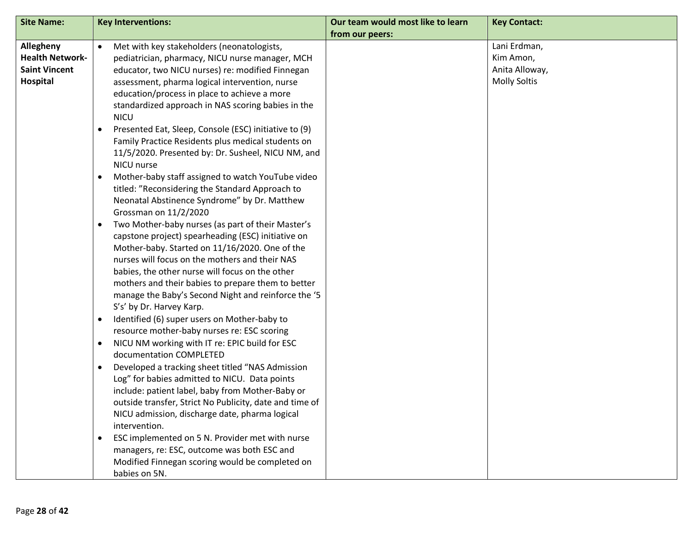| <b>Site Name:</b>                                                       | <b>Key Interventions:</b>                                                                                                                                                                                                                                                                                                                                                                                                                                                                                                                                                                                                                                                                                                                                                                                                                                                                                                                                                                                                                                                                                                                                                                                                                                                                                                                                                                                                                                                                                                                                                                                                                                                                                                                                                                                                   | Our team would most like to learn | <b>Key Contact:</b>                                                |
|-------------------------------------------------------------------------|-----------------------------------------------------------------------------------------------------------------------------------------------------------------------------------------------------------------------------------------------------------------------------------------------------------------------------------------------------------------------------------------------------------------------------------------------------------------------------------------------------------------------------------------------------------------------------------------------------------------------------------------------------------------------------------------------------------------------------------------------------------------------------------------------------------------------------------------------------------------------------------------------------------------------------------------------------------------------------------------------------------------------------------------------------------------------------------------------------------------------------------------------------------------------------------------------------------------------------------------------------------------------------------------------------------------------------------------------------------------------------------------------------------------------------------------------------------------------------------------------------------------------------------------------------------------------------------------------------------------------------------------------------------------------------------------------------------------------------------------------------------------------------------------------------------------------------|-----------------------------------|--------------------------------------------------------------------|
| Allegheny<br><b>Health Network-</b><br><b>Saint Vincent</b><br>Hospital | Met with key stakeholders (neonatologists,<br>pediatrician, pharmacy, NICU nurse manager, MCH<br>educator, two NICU nurses) re: modified Finnegan<br>assessment, pharma logical intervention, nurse<br>education/process in place to achieve a more<br>standardized approach in NAS scoring babies in the<br><b>NICU</b><br>Presented Eat, Sleep, Console (ESC) initiative to (9)<br>٠<br>Family Practice Residents plus medical students on<br>11/5/2020. Presented by: Dr. Susheel, NICU NM, and<br>NICU nurse<br>Mother-baby staff assigned to watch YouTube video<br>٠<br>titled: "Reconsidering the Standard Approach to<br>Neonatal Abstinence Syndrome" by Dr. Matthew<br>Grossman on 11/2/2020<br>Two Mother-baby nurses (as part of their Master's<br>$\bullet$<br>capstone project) spearheading (ESC) initiative on<br>Mother-baby. Started on 11/16/2020. One of the<br>nurses will focus on the mothers and their NAS<br>babies, the other nurse will focus on the other<br>mothers and their babies to prepare them to better<br>manage the Baby's Second Night and reinforce the '5<br>S's' by Dr. Harvey Karp.<br>Identified (6) super users on Mother-baby to<br>$\bullet$<br>resource mother-baby nurses re: ESC scoring<br>NICU NM working with IT re: EPIC build for ESC<br>$\bullet$<br>documentation COMPLETED<br>Developed a tracking sheet titled "NAS Admission<br>$\bullet$<br>Log" for babies admitted to NICU. Data points<br>include: patient label, baby from Mother-Baby or<br>outside transfer, Strict No Publicity, date and time of<br>NICU admission, discharge date, pharma logical<br>intervention.<br>ESC implemented on 5 N. Provider met with nurse<br>$\bullet$<br>managers, re: ESC, outcome was both ESC and<br>Modified Finnegan scoring would be completed on<br>babies on 5N. | from our peers:                   | Lani Erdman,<br>Kim Amon,<br>Anita Alloway,<br><b>Molly Soltis</b> |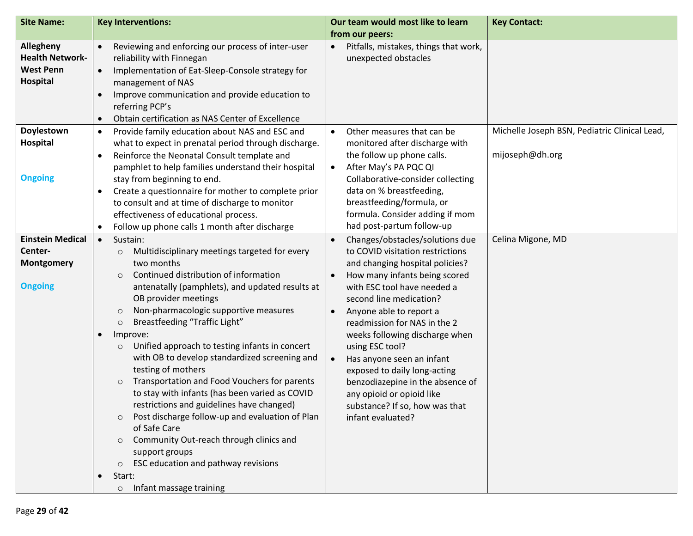| <b>Site Name:</b>                                                                 | <b>Key Interventions:</b>                                                                                                                                                                                                                                                                                                                                                                                                                                                                                                                                                                                                                                                                                                                                                                                                                                                 | Our team would most like to learn<br>from our peers:                                                                                                                                                                                                                                                                                                                                                                                                                                                   | <b>Key Contact:</b>                                              |
|-----------------------------------------------------------------------------------|---------------------------------------------------------------------------------------------------------------------------------------------------------------------------------------------------------------------------------------------------------------------------------------------------------------------------------------------------------------------------------------------------------------------------------------------------------------------------------------------------------------------------------------------------------------------------------------------------------------------------------------------------------------------------------------------------------------------------------------------------------------------------------------------------------------------------------------------------------------------------|--------------------------------------------------------------------------------------------------------------------------------------------------------------------------------------------------------------------------------------------------------------------------------------------------------------------------------------------------------------------------------------------------------------------------------------------------------------------------------------------------------|------------------------------------------------------------------|
| <b>Allegheny</b><br><b>Health Network-</b><br><b>West Penn</b><br><b>Hospital</b> | Reviewing and enforcing our process of inter-user<br>$\bullet$<br>reliability with Finnegan<br>Implementation of Eat-Sleep-Console strategy for<br>$\bullet$<br>management of NAS<br>Improve communication and provide education to<br>$\bullet$<br>referring PCP's<br>Obtain certification as NAS Center of Excellence<br>$\bullet$                                                                                                                                                                                                                                                                                                                                                                                                                                                                                                                                      | Pitfalls, mistakes, things that work,<br>unexpected obstacles                                                                                                                                                                                                                                                                                                                                                                                                                                          |                                                                  |
| Doylestown<br>Hospital<br><b>Ongoing</b>                                          | Provide family education about NAS and ESC and<br>$\bullet$<br>what to expect in prenatal period through discharge.<br>Reinforce the Neonatal Consult template and<br>$\bullet$<br>pamphlet to help families understand their hospital<br>stay from beginning to end.<br>Create a questionnaire for mother to complete prior<br>$\bullet$<br>to consult and at time of discharge to monitor<br>effectiveness of educational process.<br>Follow up phone calls 1 month after discharge<br>$\bullet$                                                                                                                                                                                                                                                                                                                                                                        | Other measures that can be<br>$\bullet$<br>monitored after discharge with<br>the follow up phone calls.<br>After May's PA PQC QI<br>Collaborative-consider collecting<br>data on % breastfeeding,<br>breastfeeding/formula, or<br>formula. Consider adding if mom<br>had post-partum follow-up                                                                                                                                                                                                         | Michelle Joseph BSN, Pediatric Clinical Lead,<br>mijoseph@dh.org |
| <b>Einstein Medical</b><br>Center-<br><b>Montgomery</b><br><b>Ongoing</b>         | Sustain:<br>$\bullet$<br>Multidisciplinary meetings targeted for every<br>$\circ$<br>two months<br>Continued distribution of information<br>$\circ$<br>antenatally (pamphlets), and updated results at<br>OB provider meetings<br>Non-pharmacologic supportive measures<br>$\circ$<br>Breastfeeding "Traffic Light"<br>$\circ$<br>$\bullet$<br>Improve:<br>Unified approach to testing infants in concert<br>$\circ$<br>with OB to develop standardized screening and<br>testing of mothers<br>Transportation and Food Vouchers for parents<br>$\circ$<br>to stay with infants (has been varied as COVID<br>restrictions and guidelines have changed)<br>Post discharge follow-up and evaluation of Plan<br>$\circ$<br>of Safe Care<br>Community Out-reach through clinics and<br>support groups<br>ESC education and pathway revisions<br>$\circ$<br>Start:<br>$\bullet$ | Changes/obstacles/solutions due<br>to COVID visitation restrictions<br>and changing hospital policies?<br>How many infants being scored<br>with ESC tool have needed a<br>second line medication?<br>Anyone able to report a<br>readmission for NAS in the 2<br>weeks following discharge when<br>using ESC tool?<br>Has anyone seen an infant<br>exposed to daily long-acting<br>benzodiazepine in the absence of<br>any opioid or opioid like<br>substance? If so, how was that<br>infant evaluated? | Celina Migone, MD                                                |
|                                                                                   | Infant massage training<br>$\circ$                                                                                                                                                                                                                                                                                                                                                                                                                                                                                                                                                                                                                                                                                                                                                                                                                                        |                                                                                                                                                                                                                                                                                                                                                                                                                                                                                                        |                                                                  |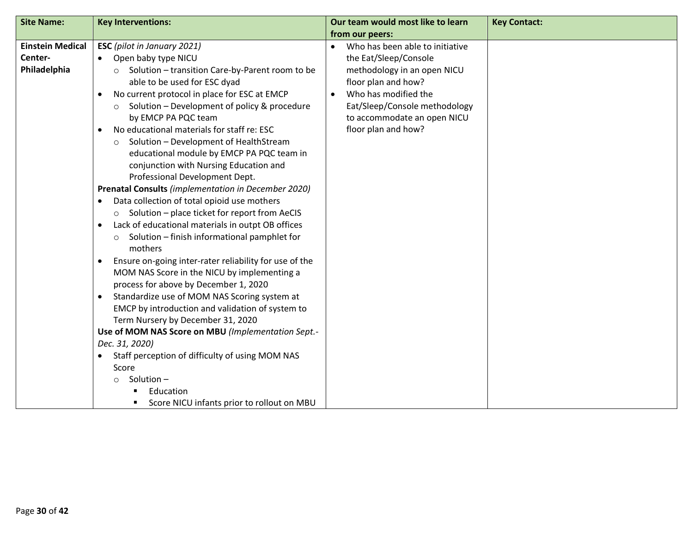| <b>Site Name:</b>                                  | <b>Key Interventions:</b>                                                                                                                                                                                                                                                                                                                                                                                                                                                                                                                                                                                                                                                                                                                                                                                                                                                                                                                                                                                                                                                                                                                                                                                                                                                                                            | Our team would most like to learn                                                                                                                                                                                                          | <b>Key Contact:</b> |
|----------------------------------------------------|----------------------------------------------------------------------------------------------------------------------------------------------------------------------------------------------------------------------------------------------------------------------------------------------------------------------------------------------------------------------------------------------------------------------------------------------------------------------------------------------------------------------------------------------------------------------------------------------------------------------------------------------------------------------------------------------------------------------------------------------------------------------------------------------------------------------------------------------------------------------------------------------------------------------------------------------------------------------------------------------------------------------------------------------------------------------------------------------------------------------------------------------------------------------------------------------------------------------------------------------------------------------------------------------------------------------|--------------------------------------------------------------------------------------------------------------------------------------------------------------------------------------------------------------------------------------------|---------------------|
|                                                    |                                                                                                                                                                                                                                                                                                                                                                                                                                                                                                                                                                                                                                                                                                                                                                                                                                                                                                                                                                                                                                                                                                                                                                                                                                                                                                                      | from our peers:                                                                                                                                                                                                                            |                     |
| <b>Einstein Medical</b><br>Center-<br>Philadelphia | <b>ESC</b> (pilot in January 2021)<br>Open baby type NICU<br>Solution - transition Care-by-Parent room to be<br>$\circ$<br>able to be used for ESC dyad<br>No current protocol in place for ESC at EMCP<br>Solution - Development of policy & procedure<br>$\circ$<br>by EMCP PA PQC team<br>No educational materials for staff re: ESC<br>$\bullet$<br>Solution - Development of HealthStream<br>$\circ$<br>educational module by EMCP PA PQC team in<br>conjunction with Nursing Education and<br>Professional Development Dept.<br>Prenatal Consults (implementation in December 2020)<br>Data collection of total opioid use mothers<br>$\bullet$<br>o Solution - place ticket for report from AeCIS<br>Lack of educational materials in outpt OB offices<br>$\bullet$<br>Solution - finish informational pamphlet for<br>$\circ$<br>mothers<br>Ensure on-going inter-rater reliability for use of the<br>MOM NAS Score in the NICU by implementing a<br>process for above by December 1, 2020<br>Standardize use of MOM NAS Scoring system at<br>EMCP by introduction and validation of system to<br>Term Nursery by December 31, 2020<br>Use of MOM NAS Score on MBU (Implementation Sept.-<br>Dec. 31, 2020)<br>Staff perception of difficulty of using MOM NAS<br>Score<br>Solution-<br>$\circ$<br>Education | Who has been able to initiative<br>$\bullet$<br>the Eat/Sleep/Console<br>methodology in an open NICU<br>floor plan and how?<br>Who has modified the<br>Eat/Sleep/Console methodology<br>to accommodate an open NICU<br>floor plan and how? |                     |
|                                                    | Score NICU infants prior to rollout on MBU                                                                                                                                                                                                                                                                                                                                                                                                                                                                                                                                                                                                                                                                                                                                                                                                                                                                                                                                                                                                                                                                                                                                                                                                                                                                           |                                                                                                                                                                                                                                            |                     |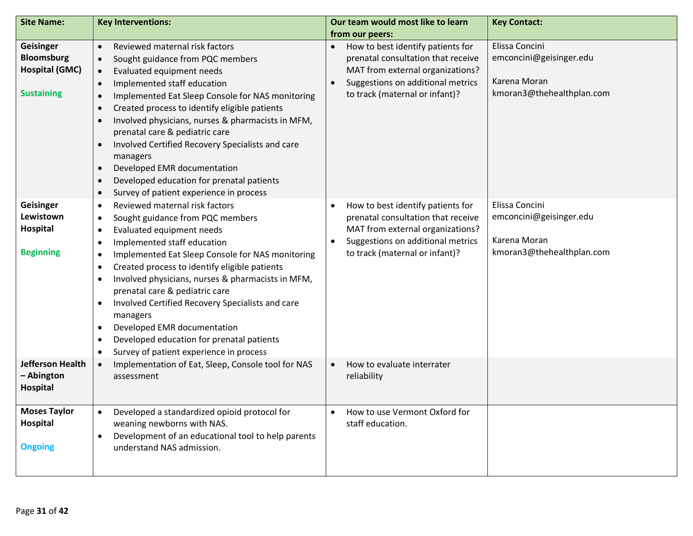| <b>Site Name:</b>                                                            | <b>Key Interventions:</b>                                                                                                                                                                                                                                                                                                                                                                                                                                                                                                                                                                                                                                        | Our team would most like to learn<br>from our peers:                                                                                                                                            | <b>Key Contact:</b>                                                                    |
|------------------------------------------------------------------------------|------------------------------------------------------------------------------------------------------------------------------------------------------------------------------------------------------------------------------------------------------------------------------------------------------------------------------------------------------------------------------------------------------------------------------------------------------------------------------------------------------------------------------------------------------------------------------------------------------------------------------------------------------------------|-------------------------------------------------------------------------------------------------------------------------------------------------------------------------------------------------|----------------------------------------------------------------------------------------|
| Geisinger<br><b>Bloomsburg</b><br><b>Hospital (GMC)</b><br><b>Sustaining</b> | Reviewed maternal risk factors<br>$\bullet$<br>Sought guidance from PQC members<br>$\bullet$<br>Evaluated equipment needs<br>$\bullet$<br>Implemented staff education<br>$\bullet$<br>Implemented Eat Sleep Console for NAS monitoring<br>$\bullet$<br>Created process to identify eligible patients<br>$\bullet$<br>Involved physicians, nurses & pharmacists in MFM,<br>$\bullet$<br>prenatal care & pediatric care<br>Involved Certified Recovery Specialists and care<br>$\bullet$<br>managers<br>Developed EMR documentation<br>$\bullet$<br>Developed education for prenatal patients<br>$\bullet$<br>Survey of patient experience in process<br>$\bullet$ | How to best identify patients for<br>prenatal consultation that receive<br>MAT from external organizations?<br>Suggestions on additional metrics<br>$\bullet$<br>to track (maternal or infant)? | Elissa Concini<br>emconcini@geisinger.edu<br>Karena Moran<br>kmoran3@thehealthplan.com |
| Geisinger<br>Lewistown<br><b>Hospital</b><br><b>Beginning</b>                | Reviewed maternal risk factors<br>$\bullet$<br>Sought guidance from PQC members<br>$\bullet$<br>Evaluated equipment needs<br>$\bullet$<br>Implemented staff education<br>$\bullet$<br>Implemented Eat Sleep Console for NAS monitoring<br>$\bullet$<br>Created process to identify eligible patients<br>$\bullet$<br>Involved physicians, nurses & pharmacists in MFM,<br>$\bullet$<br>prenatal care & pediatric care<br>Involved Certified Recovery Specialists and care<br>$\bullet$<br>managers<br>Developed EMR documentation<br>$\bullet$<br>Developed education for prenatal patients<br>$\bullet$<br>Survey of patient experience in process<br>$\bullet$ | How to best identify patients for<br>$\bullet$<br>prenatal consultation that receive<br>MAT from external organizations?<br>Suggestions on additional metrics<br>to track (maternal or infant)? | Elissa Concini<br>emconcini@geisinger.edu<br>Karena Moran<br>kmoran3@thehealthplan.com |
| Jefferson Health<br>- Abington<br><b>Hospital</b>                            | Implementation of Eat, Sleep, Console tool for NAS<br>$\bullet$<br>assessment                                                                                                                                                                                                                                                                                                                                                                                                                                                                                                                                                                                    | How to evaluate interrater<br>$\bullet$<br>reliability                                                                                                                                          |                                                                                        |
| <b>Moses Taylor</b><br>Hospital<br><b>Ongoing</b>                            | Developed a standardized opioid protocol for<br>$\bullet$<br>weaning newborns with NAS.<br>Development of an educational tool to help parents<br>understand NAS admission.                                                                                                                                                                                                                                                                                                                                                                                                                                                                                       | How to use Vermont Oxford for<br>$\bullet$<br>staff education.                                                                                                                                  |                                                                                        |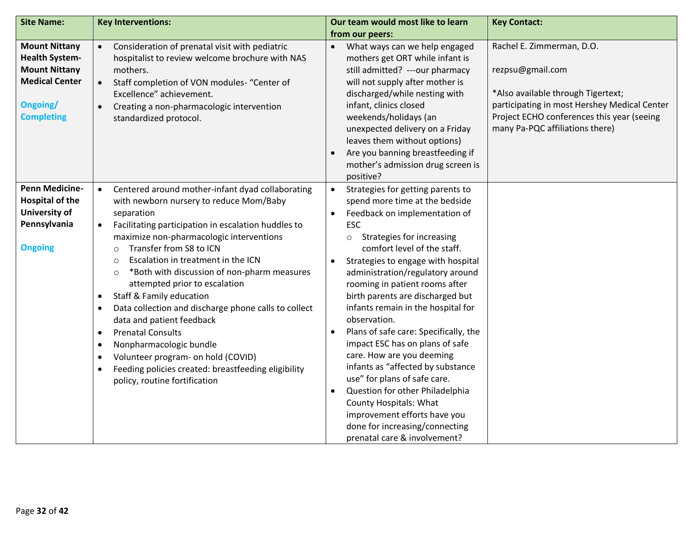| <b>Site Name:</b>                                                                                                               | <b>Key Interventions:</b>                                                                                                                                                                                                                                                                                                                                                                                                                                                                                                                                                                                                                                                                                                                                                                                               | Our team would most like to learn                                                                                                                                                                                                                                                                                                                                                                                                                                                                                                                                                                                                                                                                                                                                                                       | <b>Key Contact:</b>                                                                                                                                                                                                  |
|---------------------------------------------------------------------------------------------------------------------------------|-------------------------------------------------------------------------------------------------------------------------------------------------------------------------------------------------------------------------------------------------------------------------------------------------------------------------------------------------------------------------------------------------------------------------------------------------------------------------------------------------------------------------------------------------------------------------------------------------------------------------------------------------------------------------------------------------------------------------------------------------------------------------------------------------------------------------|---------------------------------------------------------------------------------------------------------------------------------------------------------------------------------------------------------------------------------------------------------------------------------------------------------------------------------------------------------------------------------------------------------------------------------------------------------------------------------------------------------------------------------------------------------------------------------------------------------------------------------------------------------------------------------------------------------------------------------------------------------------------------------------------------------|----------------------------------------------------------------------------------------------------------------------------------------------------------------------------------------------------------------------|
|                                                                                                                                 |                                                                                                                                                                                                                                                                                                                                                                                                                                                                                                                                                                                                                                                                                                                                                                                                                         | from our peers:                                                                                                                                                                                                                                                                                                                                                                                                                                                                                                                                                                                                                                                                                                                                                                                         |                                                                                                                                                                                                                      |
| <b>Mount Nittany</b><br><b>Health System-</b><br><b>Mount Nittany</b><br><b>Medical Center</b><br>Ongoing/<br><b>Completing</b> | Consideration of prenatal visit with pediatric<br>$\bullet$<br>hospitalist to review welcome brochure with NAS<br>mothers.<br>Staff completion of VON modules- "Center of<br>Excellence" achievement.<br>Creating a non-pharmacologic intervention<br>standardized protocol.                                                                                                                                                                                                                                                                                                                                                                                                                                                                                                                                            | What ways can we help engaged<br>$\bullet$<br>mothers get ORT while infant is<br>still admitted? ---our pharmacy<br>will not supply after mother is<br>discharged/while nesting with<br>infant, clinics closed<br>weekends/holidays (an<br>unexpected delivery on a Friday<br>leaves them without options)<br>Are you banning breastfeeding if<br>mother's admission drug screen is<br>positive?                                                                                                                                                                                                                                                                                                                                                                                                        | Rachel E. Zimmerman, D.O.<br>rezpsu@gmail.com<br>*Also available through Tigertext;<br>participating in most Hershey Medical Center<br>Project ECHO conferences this year (seeing<br>many Pa-PQC affiliations there) |
| <b>Penn Medicine-</b><br><b>Hospital of the</b><br>University of<br>Pennsylvania<br><b>Ongoing</b>                              | Centered around mother-infant dyad collaborating<br>$\bullet$<br>with newborn nursery to reduce Mom/Baby<br>separation<br>Facilitating participation in escalation huddles to<br>$\bullet$<br>maximize non-pharmacologic interventions<br>Transfer from S8 to ICN<br>$\circ$<br>Escalation in treatment in the ICN<br>$\circ$<br>*Both with discussion of non-pharm measures<br>$\circ$<br>attempted prior to escalation<br><b>Staff &amp; Family education</b><br>$\bullet$<br>Data collection and discharge phone calls to collect<br>$\bullet$<br>data and patient feedback<br><b>Prenatal Consults</b><br>$\bullet$<br>Nonpharmacologic bundle<br>$\bullet$<br>Volunteer program- on hold (COVID)<br>$\bullet$<br>Feeding policies created: breastfeeding eligibility<br>$\bullet$<br>policy, routine fortification | Strategies for getting parents to<br>$\bullet$<br>spend more time at the bedside<br>Feedback on implementation of<br>$\bullet$<br><b>ESC</b><br>Strategies for increasing<br>$\circ$<br>comfort level of the staff.<br>Strategies to engage with hospital<br>$\bullet$<br>administration/regulatory around<br>rooming in patient rooms after<br>birth parents are discharged but<br>infants remain in the hospital for<br>observation.<br>Plans of safe care: Specifically, the<br>impact ESC has on plans of safe<br>care. How are you deeming<br>infants as "affected by substance<br>use" for plans of safe care.<br>Question for other Philadelphia<br>$\bullet$<br><b>County Hospitals: What</b><br>improvement efforts have you<br>done for increasing/connecting<br>prenatal care & involvement? |                                                                                                                                                                                                                      |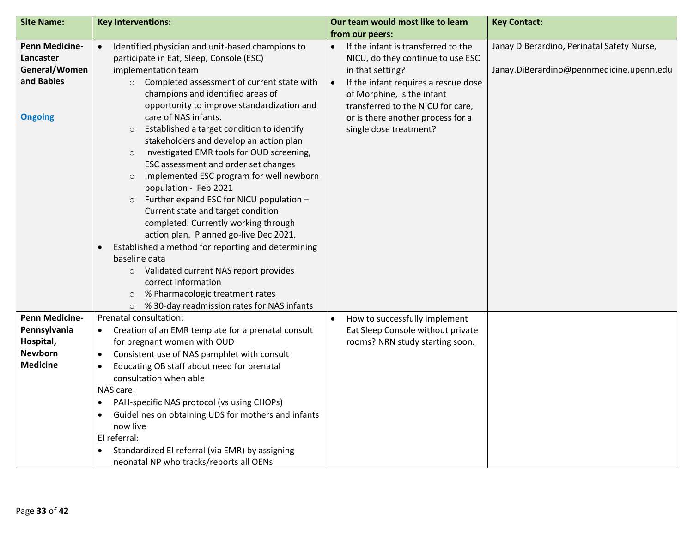| <b>Site Name:</b>     | <b>Key Interventions:</b>                                                                  | Our team would most like to learn          | <b>Key Contact:</b>                        |
|-----------------------|--------------------------------------------------------------------------------------------|--------------------------------------------|--------------------------------------------|
|                       |                                                                                            | from our peers:                            |                                            |
| <b>Penn Medicine-</b> | Identified physician and unit-based champions to<br>$\bullet$                              | If the infant is transferred to the        | Janay DiBerardino, Perinatal Safety Nurse, |
| Lancaster             | participate in Eat, Sleep, Console (ESC)                                                   | NICU, do they continue to use ESC          |                                            |
| General/Women         | implementation team                                                                        | in that setting?                           | Janay.DiBerardino@pennmedicine.upenn.edu   |
| and Babies            | Completed assessment of current state with<br>$\circ$                                      | If the infant requires a rescue dose       |                                            |
|                       | champions and identified areas of                                                          | of Morphine, is the infant                 |                                            |
|                       | opportunity to improve standardization and                                                 | transferred to the NICU for care,          |                                            |
| <b>Ongoing</b>        | care of NAS infants.                                                                       | or is there another process for a          |                                            |
|                       | Established a target condition to identify<br>$\circ$                                      | single dose treatment?                     |                                            |
|                       | stakeholders and develop an action plan                                                    |                                            |                                            |
|                       | Investigated EMR tools for OUD screening,<br>$\circ$                                       |                                            |                                            |
|                       | ESC assessment and order set changes                                                       |                                            |                                            |
|                       | Implemented ESC program for well newborn<br>$\circ$                                        |                                            |                                            |
|                       | population - Feb 2021                                                                      |                                            |                                            |
|                       | Further expand ESC for NICU population -<br>$\circ$<br>Current state and target condition  |                                            |                                            |
|                       | completed. Currently working through                                                       |                                            |                                            |
|                       | action plan. Planned go-live Dec 2021.                                                     |                                            |                                            |
|                       | Established a method for reporting and determining<br>$\bullet$                            |                                            |                                            |
|                       | baseline data                                                                              |                                            |                                            |
|                       | Validated current NAS report provides<br>$\circ$                                           |                                            |                                            |
|                       | correct information                                                                        |                                            |                                            |
|                       | % Pharmacologic treatment rates<br>$\circ$                                                 |                                            |                                            |
|                       | % 30-day readmission rates for NAS infants<br>$\circ$                                      |                                            |                                            |
| <b>Penn Medicine-</b> | Prenatal consultation:                                                                     | How to successfully implement<br>$\bullet$ |                                            |
| Pennsylvania          | Creation of an EMR template for a prenatal consult<br>$\bullet$                            | Eat Sleep Console without private          |                                            |
| Hospital,             | for pregnant women with OUD                                                                | rooms? NRN study starting soon.            |                                            |
| <b>Newborn</b>        | Consistent use of NAS pamphlet with consult<br>$\bullet$                                   |                                            |                                            |
| <b>Medicine</b>       | Educating OB staff about need for prenatal<br>$\bullet$                                    |                                            |                                            |
|                       | consultation when able                                                                     |                                            |                                            |
|                       | NAS care:                                                                                  |                                            |                                            |
|                       | PAH-specific NAS protocol (vs using CHOPs)<br>$\bullet$                                    |                                            |                                            |
|                       | Guidelines on obtaining UDS for mothers and infants<br>$\bullet$                           |                                            |                                            |
|                       | now live                                                                                   |                                            |                                            |
|                       | El referral:                                                                               |                                            |                                            |
|                       | Standardized EI referral (via EMR) by assigning<br>neonatal NP who tracks/reports all OENs |                                            |                                            |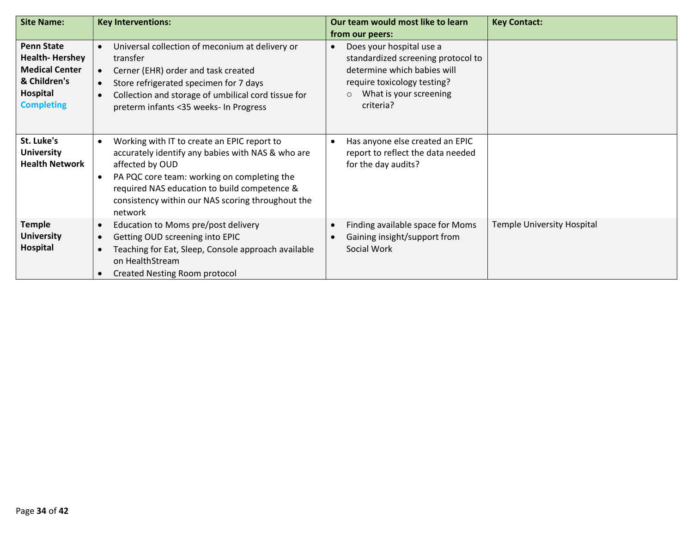| <b>Site Name:</b>                                                                                                    | <b>Key Interventions:</b>                                                                                                                                                                                                                                                                                    | Our team would most like to learn<br>from our peers:                                                                                                                           | <b>Key Contact:</b>        |
|----------------------------------------------------------------------------------------------------------------------|--------------------------------------------------------------------------------------------------------------------------------------------------------------------------------------------------------------------------------------------------------------------------------------------------------------|--------------------------------------------------------------------------------------------------------------------------------------------------------------------------------|----------------------------|
| <b>Penn State</b><br><b>Health-Hershey</b><br><b>Medical Center</b><br>& Children's<br>Hospital<br><b>Completing</b> | Universal collection of meconium at delivery or<br>$\bullet$<br>transfer<br>Cerner (EHR) order and task created<br>$\bullet$<br>Store refrigerated specimen for 7 days<br>$\bullet$<br>Collection and storage of umbilical cord tissue for<br>$\bullet$<br>preterm infants <35 weeks- In Progress            | Does your hospital use a<br>standardized screening protocol to<br>determine which babies will<br>require toxicology testing?<br>What is your screening<br>$\circ$<br>criteria? |                            |
| St. Luke's<br><b>University</b><br><b>Health Network</b>                                                             | Working with IT to create an EPIC report to<br>$\bullet$<br>accurately identify any babies with NAS & who are<br>affected by OUD<br>PA PQC core team: working on completing the<br>$\bullet$<br>required NAS education to build competence &<br>consistency within our NAS scoring throughout the<br>network | Has anyone else created an EPIC<br>report to reflect the data needed<br>for the day audits?                                                                                    |                            |
| <b>Temple</b><br><b>University</b><br>Hospital                                                                       | Education to Moms pre/post delivery<br>$\bullet$<br>Getting OUD screening into EPIC<br>$\bullet$<br>Teaching for Eat, Sleep, Console approach available<br>$\bullet$<br>on HealthStream<br><b>Created Nesting Room protocol</b><br>$\bullet$                                                                 | Finding available space for Moms<br>Gaining insight/support from<br>Social Work                                                                                                | Temple University Hospital |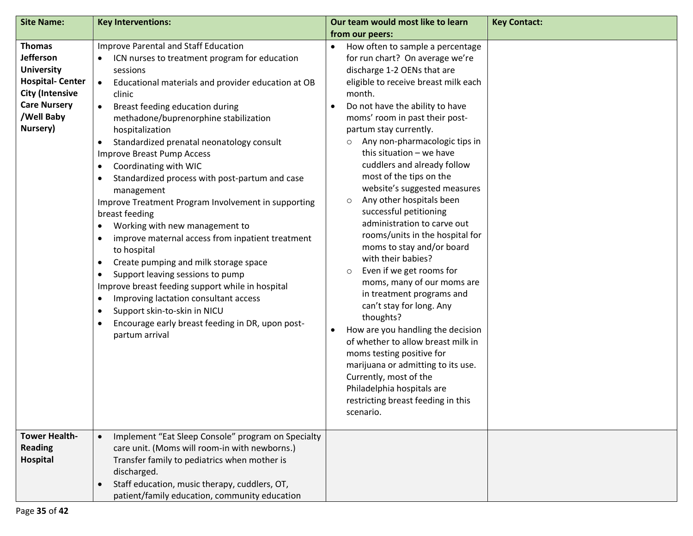| <b>Site Name:</b>                                                                                                                                           | <b>Key Interventions:</b>                                                                                                                                                                                                                                                                                                                                                                                                                                                                                                                                                                                                                                                                                                                                                                                                                                                                                                                                                                                                                                      | Our team would most like to learn                                                                                                                                                                                                                                                                                                                                                                                                                                                                                                                                                                                                                                                                                                                                                                                                                                                                                                                                                                                            | <b>Key Contact:</b> |
|-------------------------------------------------------------------------------------------------------------------------------------------------------------|----------------------------------------------------------------------------------------------------------------------------------------------------------------------------------------------------------------------------------------------------------------------------------------------------------------------------------------------------------------------------------------------------------------------------------------------------------------------------------------------------------------------------------------------------------------------------------------------------------------------------------------------------------------------------------------------------------------------------------------------------------------------------------------------------------------------------------------------------------------------------------------------------------------------------------------------------------------------------------------------------------------------------------------------------------------|------------------------------------------------------------------------------------------------------------------------------------------------------------------------------------------------------------------------------------------------------------------------------------------------------------------------------------------------------------------------------------------------------------------------------------------------------------------------------------------------------------------------------------------------------------------------------------------------------------------------------------------------------------------------------------------------------------------------------------------------------------------------------------------------------------------------------------------------------------------------------------------------------------------------------------------------------------------------------------------------------------------------------|---------------------|
|                                                                                                                                                             |                                                                                                                                                                                                                                                                                                                                                                                                                                                                                                                                                                                                                                                                                                                                                                                                                                                                                                                                                                                                                                                                | from our peers:                                                                                                                                                                                                                                                                                                                                                                                                                                                                                                                                                                                                                                                                                                                                                                                                                                                                                                                                                                                                              |                     |
| <b>Thomas</b><br><b>Jefferson</b><br><b>University</b><br><b>Hospital-Center</b><br><b>City (Intensive</b><br><b>Care Nursery</b><br>/Well Baby<br>Nursery) | Improve Parental and Staff Education<br>ICN nurses to treatment program for education<br>sessions<br>Educational materials and provider education at OB<br>$\bullet$<br>clinic<br>Breast feeding education during<br>$\bullet$<br>methadone/buprenorphine stabilization<br>hospitalization<br>Standardized prenatal neonatology consult<br>$\bullet$<br>Improve Breast Pump Access<br>Coordinating with WIC<br>$\bullet$<br>Standardized process with post-partum and case<br>$\bullet$<br>management<br>Improve Treatment Program Involvement in supporting<br>breast feeding<br>Working with new management to<br>$\bullet$<br>improve maternal access from inpatient treatment<br>$\bullet$<br>to hospital<br>Create pumping and milk storage space<br>$\bullet$<br>Support leaving sessions to pump<br>$\bullet$<br>Improve breast feeding support while in hospital<br>Improving lactation consultant access<br>$\bullet$<br>Support skin-to-skin in NICU<br>$\bullet$<br>Encourage early breast feeding in DR, upon post-<br>$\bullet$<br>partum arrival | How often to sample a percentage<br>for run chart? On average we're<br>discharge 1-2 OENs that are<br>eligible to receive breast milk each<br>month.<br>Do not have the ability to have<br>moms' room in past their post-<br>partum stay currently.<br>Any non-pharmacologic tips in<br>$\circ$<br>this situation - we have<br>cuddlers and already follow<br>most of the tips on the<br>website's suggested measures<br>Any other hospitals been<br>$\circ$<br>successful petitioning<br>administration to carve out<br>rooms/units in the hospital for<br>moms to stay and/or board<br>with their babies?<br>Even if we get rooms for<br>$\circ$<br>moms, many of our moms are<br>in treatment programs and<br>can't stay for long. Any<br>thoughts?<br>How are you handling the decision<br>$\bullet$<br>of whether to allow breast milk in<br>moms testing positive for<br>marijuana or admitting to its use.<br>Currently, most of the<br>Philadelphia hospitals are<br>restricting breast feeding in this<br>scenario. |                     |
| <b>Tower Health-</b><br><b>Reading</b><br>Hospital                                                                                                          | Implement "Eat Sleep Console" program on Specialty<br>$\bullet$<br>care unit. (Moms will room-in with newborns.)<br>Transfer family to pediatrics when mother is<br>discharged.<br>Staff education, music therapy, cuddlers, OT,<br>$\bullet$<br>patient/family education, community education                                                                                                                                                                                                                                                                                                                                                                                                                                                                                                                                                                                                                                                                                                                                                                 |                                                                                                                                                                                                                                                                                                                                                                                                                                                                                                                                                                                                                                                                                                                                                                                                                                                                                                                                                                                                                              |                     |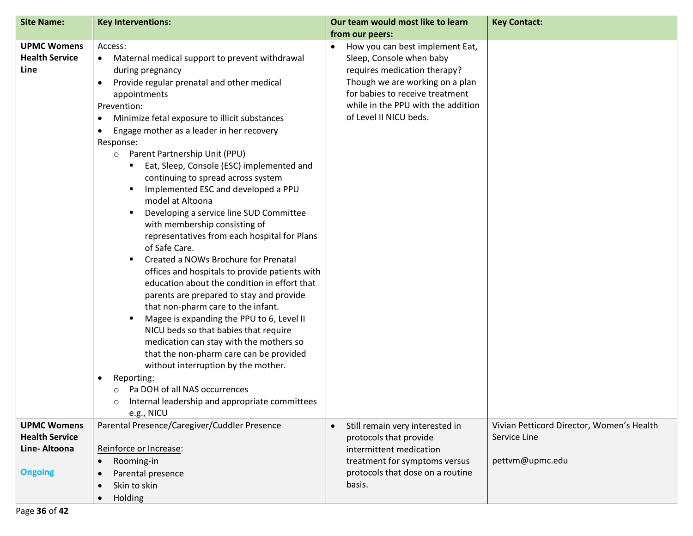| <b>Site Name:</b>                                                             | <b>Key Interventions:</b>                                                                                                                                                                                                                                                                                                                                                                                                                                                                                                                                                                                                                                                                                                                                                                                                                                                                                                                                                                                                                                                                                                                                                                                                             | Our team would most like to learn<br>from our peers:                                                                                                                                                                                           | <b>Key Contact:</b>                                                          |
|-------------------------------------------------------------------------------|---------------------------------------------------------------------------------------------------------------------------------------------------------------------------------------------------------------------------------------------------------------------------------------------------------------------------------------------------------------------------------------------------------------------------------------------------------------------------------------------------------------------------------------------------------------------------------------------------------------------------------------------------------------------------------------------------------------------------------------------------------------------------------------------------------------------------------------------------------------------------------------------------------------------------------------------------------------------------------------------------------------------------------------------------------------------------------------------------------------------------------------------------------------------------------------------------------------------------------------|------------------------------------------------------------------------------------------------------------------------------------------------------------------------------------------------------------------------------------------------|------------------------------------------------------------------------------|
| <b>UPMC Womens</b><br><b>Health Service</b><br>Line                           | Access:<br>Maternal medical support to prevent withdrawal<br>$\bullet$<br>during pregnancy<br>Provide regular prenatal and other medical<br>appointments<br>Prevention:<br>Minimize fetal exposure to illicit substances<br>$\bullet$<br>Engage mother as a leader in her recovery<br>$\bullet$<br>Response:<br>Parent Partnership Unit (PPU)<br>$\circ$<br>Eat, Sleep, Console (ESC) implemented and<br>continuing to spread across system<br>Implemented ESC and developed a PPU<br>model at Altoona<br>Developing a service line SUD Committee<br>п<br>with membership consisting of<br>representatives from each hospital for Plans<br>of Safe Care.<br>Created a NOWs Brochure for Prenatal<br>٠<br>offices and hospitals to provide patients with<br>education about the condition in effort that<br>parents are prepared to stay and provide<br>that non-pharm care to the infant.<br>Magee is expanding the PPU to 6, Level II<br>NICU beds so that babies that require<br>medication can stay with the mothers so<br>that the non-pharm care can be provided<br>without interruption by the mother.<br>Reporting:<br>$\bullet$<br>Pa DOH of all NAS occurrences<br>Internal leadership and appropriate committees<br>$\circ$ | How you can best implement Eat,<br>$\bullet$<br>Sleep, Console when baby<br>requires medication therapy?<br>Though we are working on a plan<br>for babies to receive treatment<br>while in the PPU with the addition<br>of Level II NICU beds. |                                                                              |
| <b>UPMC Womens</b><br><b>Health Service</b><br>Line-Altoona<br><b>Ongoing</b> | e.g., NICU<br>Parental Presence/Caregiver/Cuddler Presence<br>Reinforce or Increase:<br>Rooming-in<br>$\bullet$<br>Parental presence<br>$\bullet$<br>Skin to skin<br>$\bullet$<br>Holding<br>$\bullet$                                                                                                                                                                                                                                                                                                                                                                                                                                                                                                                                                                                                                                                                                                                                                                                                                                                                                                                                                                                                                                | Still remain very interested in<br>$\bullet$<br>protocols that provide<br>intermittent medication<br>treatment for symptoms versus<br>protocols that dose on a routine<br>basis.                                                               | Vivian Petticord Director, Women's Health<br>Service Line<br>pettvm@upmc.edu |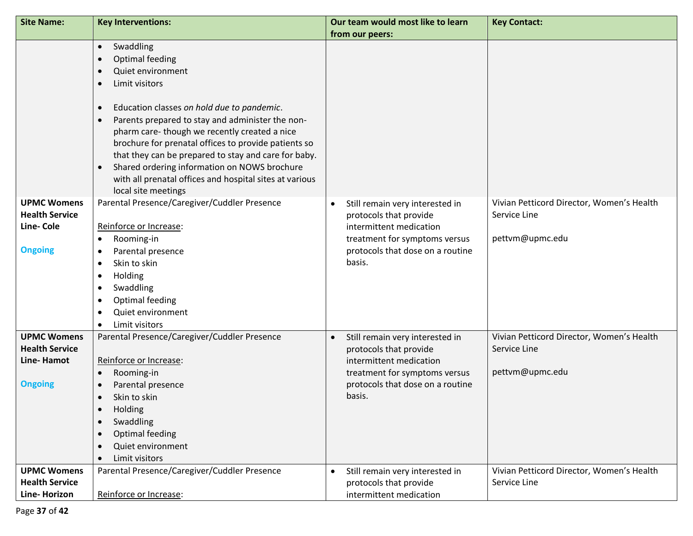| <b>Site Name:</b>                                                           | <b>Key Interventions:</b>                                                                                                                                                                                                                                                                                                                                                                                                                                                                                                                                                 | Our team would most like to learn                                                                                                                                                | <b>Key Contact:</b>                                                          |
|-----------------------------------------------------------------------------|---------------------------------------------------------------------------------------------------------------------------------------------------------------------------------------------------------------------------------------------------------------------------------------------------------------------------------------------------------------------------------------------------------------------------------------------------------------------------------------------------------------------------------------------------------------------------|----------------------------------------------------------------------------------------------------------------------------------------------------------------------------------|------------------------------------------------------------------------------|
|                                                                             |                                                                                                                                                                                                                                                                                                                                                                                                                                                                                                                                                                           | from our peers:                                                                                                                                                                  |                                                                              |
|                                                                             | Swaddling<br>$\bullet$<br><b>Optimal feeding</b><br>$\bullet$<br>Quiet environment<br>$\bullet$<br>Limit visitors<br>$\bullet$<br>Education classes on hold due to pandemic.<br>$\bullet$<br>Parents prepared to stay and administer the non-<br>$\bullet$<br>pharm care-though we recently created a nice<br>brochure for prenatal offices to provide patients so<br>that they can be prepared to stay and care for baby.<br>Shared ordering information on NOWS brochure<br>$\bullet$<br>with all prenatal offices and hospital sites at various<br>local site meetings |                                                                                                                                                                                  |                                                                              |
| <b>UPMC Womens</b><br><b>Health Service</b><br>Line-Cole<br><b>Ongoing</b>  | Parental Presence/Caregiver/Cuddler Presence<br>Reinforce or Increase:<br>Rooming-in<br>$\bullet$<br>Parental presence<br>$\bullet$<br>Skin to skin<br>$\bullet$<br>Holding<br>$\bullet$<br>Swaddling<br>$\bullet$<br>Optimal feeding<br>$\bullet$<br>Quiet environment<br>$\bullet$<br>Limit visitors<br>$\bullet$                                                                                                                                                                                                                                                       | Still remain very interested in<br>$\bullet$<br>protocols that provide<br>intermittent medication<br>treatment for symptoms versus<br>protocols that dose on a routine<br>basis. | Vivian Petticord Director, Women's Health<br>Service Line<br>pettvm@upmc.edu |
| <b>UPMC Womens</b><br><b>Health Service</b><br>Line-Hamot<br><b>Ongoing</b> | Parental Presence/Caregiver/Cuddler Presence<br>Reinforce or Increase:<br>Rooming-in<br>$\bullet$<br>Parental presence<br>$\bullet$<br>Skin to skin<br>$\bullet$<br>Holding<br>$\bullet$<br>Swaddling<br>$\bullet$<br>Optimal feeding<br>$\bullet$<br>Quiet environment<br>$\bullet$<br>Limit visitors<br>$\bullet$                                                                                                                                                                                                                                                       | Still remain very interested in<br>$\bullet$<br>protocols that provide<br>intermittent medication<br>treatment for symptoms versus<br>protocols that dose on a routine<br>basis. | Vivian Petticord Director, Women's Health<br>Service Line<br>pettvm@upmc.edu |
| <b>UPMC Womens</b><br><b>Health Service</b><br>Line-Horizon                 | Parental Presence/Caregiver/Cuddler Presence<br>Reinforce or Increase:                                                                                                                                                                                                                                                                                                                                                                                                                                                                                                    | Still remain very interested in<br>$\bullet$<br>protocols that provide<br>intermittent medication                                                                                | Vivian Petticord Director, Women's Health<br>Service Line                    |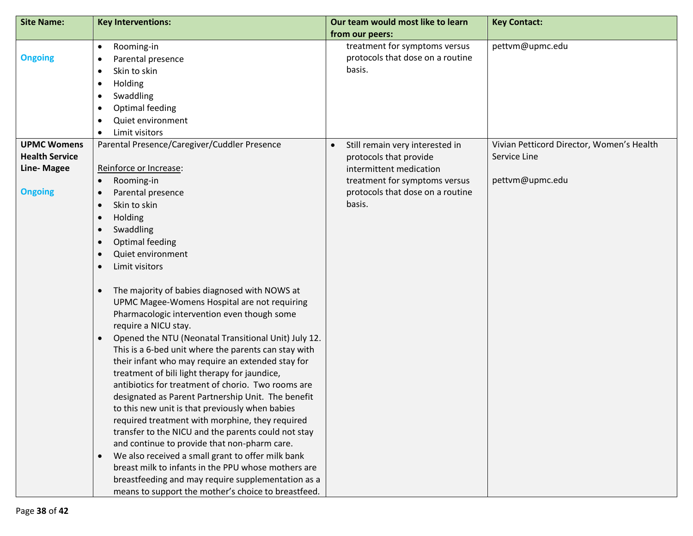| <b>Site Name:</b>     | <b>Key Interventions:</b>                                                                           | Our team would most like to learn            | <b>Key Contact:</b>                       |
|-----------------------|-----------------------------------------------------------------------------------------------------|----------------------------------------------|-------------------------------------------|
|                       |                                                                                                     | from our peers:                              |                                           |
|                       | Rooming-in<br>$\bullet$                                                                             | treatment for symptoms versus                | pettvm@upmc.edu                           |
| <b>Ongoing</b>        | Parental presence<br>$\bullet$                                                                      | protocols that dose on a routine             |                                           |
|                       | Skin to skin<br>$\bullet$                                                                           | basis.                                       |                                           |
|                       | Holding<br>$\bullet$                                                                                |                                              |                                           |
|                       | Swaddling<br>$\bullet$                                                                              |                                              |                                           |
|                       | Optimal feeding<br>$\bullet$                                                                        |                                              |                                           |
|                       | Quiet environment<br>$\bullet$                                                                      |                                              |                                           |
|                       | Limit visitors<br>$\bullet$                                                                         |                                              |                                           |
| <b>UPMC Womens</b>    | Parental Presence/Caregiver/Cuddler Presence                                                        | Still remain very interested in<br>$\bullet$ | Vivian Petticord Director, Women's Health |
| <b>Health Service</b> |                                                                                                     | protocols that provide                       | Service Line                              |
| <b>Line-Magee</b>     | Reinforce or Increase:                                                                              | intermittent medication                      |                                           |
|                       | Rooming-in<br>$\bullet$                                                                             | treatment for symptoms versus                | pettvm@upmc.edu                           |
| <b>Ongoing</b>        | Parental presence<br>$\bullet$                                                                      | protocols that dose on a routine             |                                           |
|                       | Skin to skin<br>$\bullet$                                                                           | basis.                                       |                                           |
|                       | Holding<br>$\bullet$                                                                                |                                              |                                           |
|                       | Swaddling<br>$\bullet$                                                                              |                                              |                                           |
|                       | <b>Optimal feeding</b><br>$\bullet$                                                                 |                                              |                                           |
|                       | Quiet environment<br>$\bullet$                                                                      |                                              |                                           |
|                       | Limit visitors<br>$\bullet$                                                                         |                                              |                                           |
|                       | The majority of babies diagnosed with NOWS at<br>$\bullet$                                          |                                              |                                           |
|                       | UPMC Magee-Womens Hospital are not requiring                                                        |                                              |                                           |
|                       | Pharmacologic intervention even though some                                                         |                                              |                                           |
|                       | require a NICU stay.                                                                                |                                              |                                           |
|                       | Opened the NTU (Neonatal Transitional Unit) July 12.<br>$\bullet$                                   |                                              |                                           |
|                       | This is a 6-bed unit where the parents can stay with                                                |                                              |                                           |
|                       | their infant who may require an extended stay for                                                   |                                              |                                           |
|                       | treatment of bili light therapy for jaundice,                                                       |                                              |                                           |
|                       | antibiotics for treatment of chorio. Two rooms are                                                  |                                              |                                           |
|                       | designated as Parent Partnership Unit. The benefit                                                  |                                              |                                           |
|                       | to this new unit is that previously when babies                                                     |                                              |                                           |
|                       | required treatment with morphine, they required                                                     |                                              |                                           |
|                       | transfer to the NICU and the parents could not stay<br>and continue to provide that non-pharm care. |                                              |                                           |
|                       | We also received a small grant to offer milk bank<br>$\bullet$                                      |                                              |                                           |
|                       | breast milk to infants in the PPU whose mothers are                                                 |                                              |                                           |
|                       | breastfeeding and may require supplementation as a                                                  |                                              |                                           |
|                       | means to support the mother's choice to breastfeed.                                                 |                                              |                                           |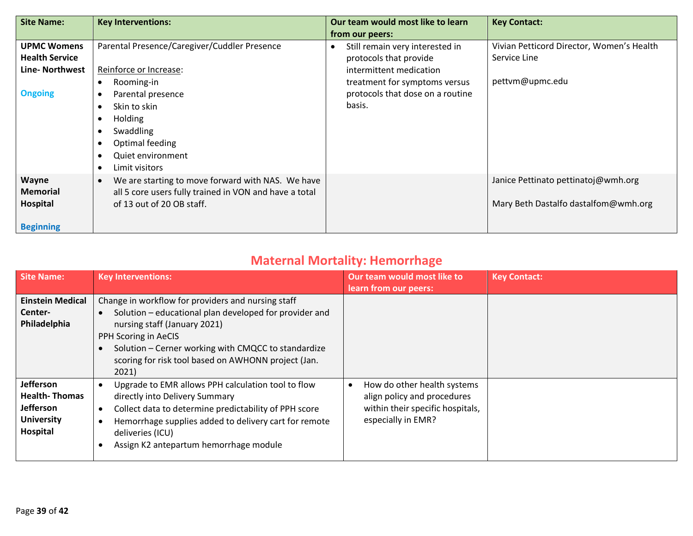| <b>Site Name:</b>     | <b>Key Interventions:</b>                                      | Our team would most like to learn | <b>Key Contact:</b>                       |
|-----------------------|----------------------------------------------------------------|-----------------------------------|-------------------------------------------|
|                       |                                                                | from our peers:                   |                                           |
| <b>UPMC Womens</b>    | Parental Presence/Caregiver/Cuddler Presence                   | Still remain very interested in   | Vivian Petticord Director, Women's Health |
| <b>Health Service</b> |                                                                | protocols that provide            | Service Line                              |
| Line- Northwest       | Reinforce or Increase:                                         | intermittent medication           |                                           |
|                       | Rooming-in<br>$\bullet$                                        | treatment for symptoms versus     | pettvm@upmc.edu                           |
| <b>Ongoing</b>        | Parental presence<br>٠                                         | protocols that dose on a routine  |                                           |
|                       | Skin to skin                                                   | basis.                            |                                           |
|                       | Holding<br>٠                                                   |                                   |                                           |
|                       | Swaddling                                                      |                                   |                                           |
|                       | Optimal feeding                                                |                                   |                                           |
|                       | Quiet environment<br>$\bullet$                                 |                                   |                                           |
|                       | Limit visitors<br>$\bullet$                                    |                                   |                                           |
| Wayne                 | We are starting to move forward with NAS. We have<br>$\bullet$ |                                   | Janice Pettinato pettinatoj@wmh.org       |
| <b>Memorial</b>       | all 5 core users fully trained in VON and have a total         |                                   |                                           |
| Hospital              | of 13 out of 20 OB staff.                                      |                                   | Mary Beth Dastalfo dastalfom@wmh.org      |
|                       |                                                                |                                   |                                           |
| <b>Beginning</b>      |                                                                |                                   |                                           |

### **Maternal Mortality: Hemorrhage**

| <b>Site Name:</b>                                                                      | <b>Key Interventions:</b>                                                                                                                                                                                                                                                                   | Our team would most like to<br>learn from our peers:                                                                 | <b>Key Contact:</b> |
|----------------------------------------------------------------------------------------|---------------------------------------------------------------------------------------------------------------------------------------------------------------------------------------------------------------------------------------------------------------------------------------------|----------------------------------------------------------------------------------------------------------------------|---------------------|
| <b>Einstein Medical</b><br>Center-<br>Philadelphia                                     | Change in workflow for providers and nursing staff<br>Solution - educational plan developed for provider and<br>nursing staff (January 2021)<br>PPH Scoring in AeCIS<br>Solution – Cerner working with CMQCC to standardize<br>scoring for risk tool based on AWHONN project (Jan.<br>2021) |                                                                                                                      |                     |
| Jefferson<br><b>Health-Thomas</b><br><b>Jefferson</b><br><b>University</b><br>Hospital | Upgrade to EMR allows PPH calculation tool to flow<br>directly into Delivery Summary<br>Collect data to determine predictability of PPH score<br>Hemorrhage supplies added to delivery cart for remote<br>deliveries (ICU)<br>Assign K2 antepartum hemorrhage module                        | How do other health systems<br>align policy and procedures<br>within their specific hospitals,<br>especially in EMR? |                     |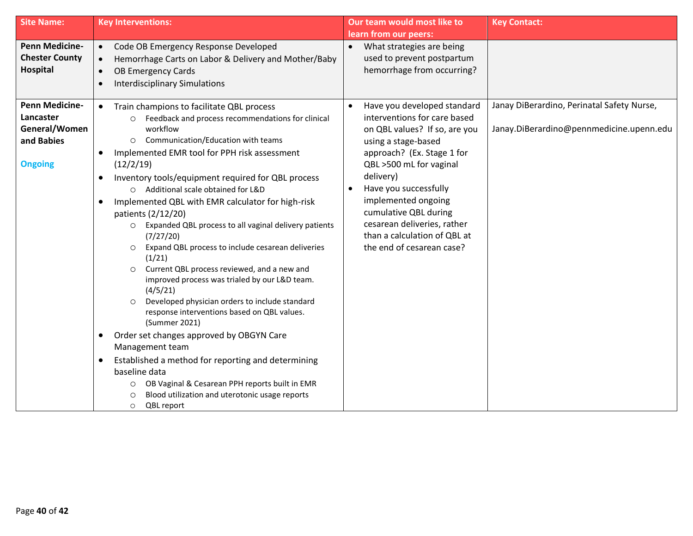| <b>Site Name:</b>                                                                                | <b>Key Interventions:</b>                                                                                                                                                                                                                                                                                                                                                                                                                                                                                                                                                                                                                                                                                                                                                                                                                                                                                                                                                                                                                                         | Our team would most like to                                                                                                                                                                                                                                                                     | <b>Key Contact:</b>                        |
|--------------------------------------------------------------------------------------------------|-------------------------------------------------------------------------------------------------------------------------------------------------------------------------------------------------------------------------------------------------------------------------------------------------------------------------------------------------------------------------------------------------------------------------------------------------------------------------------------------------------------------------------------------------------------------------------------------------------------------------------------------------------------------------------------------------------------------------------------------------------------------------------------------------------------------------------------------------------------------------------------------------------------------------------------------------------------------------------------------------------------------------------------------------------------------|-------------------------------------------------------------------------------------------------------------------------------------------------------------------------------------------------------------------------------------------------------------------------------------------------|--------------------------------------------|
| <b>Penn Medicine-</b><br><b>Chester County</b><br>Hospital<br><b>Penn Medicine-</b><br>Lancaster | Code OB Emergency Response Developed<br>$\bullet$<br>Hemorrhage Carts on Labor & Delivery and Mother/Baby<br>$\bullet$<br><b>OB Emergency Cards</b><br>$\bullet$<br><b>Interdisciplinary Simulations</b><br>$\bullet$<br>Train champions to facilitate QBL process<br>$\bullet$<br>Feedback and process recommendations for clinical                                                                                                                                                                                                                                                                                                                                                                                                                                                                                                                                                                                                                                                                                                                              | learn from our peers:<br>What strategies are being<br>$\bullet$<br>used to prevent postpartum<br>hemorrhage from occurring?<br>Have you developed standard<br>interventions for care based                                                                                                      | Janay DiBerardino, Perinatal Safety Nurse, |
| General/Women<br>and Babies<br><b>Ongoing</b>                                                    | workflow<br>Communication/Education with teams<br>$\circ$<br>Implemented EMR tool for PPH risk assessment<br>$\bullet$<br>(12/2/19)<br>Inventory tools/equipment required for QBL process<br>$\bullet$<br>O Additional scale obtained for L&D<br>Implemented QBL with EMR calculator for high-risk<br>$\bullet$<br>patients (2/12/20)<br>Expanded QBL process to all vaginal delivery patients<br>$\circ$<br>(7/27/20)<br>Expand QBL process to include cesarean deliveries<br>$\circ$<br>(1/21)<br>Current QBL process reviewed, and a new and<br>$\circ$<br>improved process was trialed by our L&D team.<br>(4/5/21)<br>Developed physician orders to include standard<br>$\circ$<br>response interventions based on QBL values.<br>(Summer 2021)<br>Order set changes approved by OBGYN Care<br>$\bullet$<br>Management team<br>Established a method for reporting and determining<br>$\bullet$<br>baseline data<br>OB Vaginal & Cesarean PPH reports built in EMR<br>$\circ$<br>Blood utilization and uterotonic usage reports<br>O<br>QBL report<br>$\circ$ | on QBL values? If so, are you<br>using a stage-based<br>approach? (Ex. Stage 1 for<br>QBL >500 mL for vaginal<br>delivery)<br>Have you successfully<br>implemented ongoing<br>cumulative QBL during<br>cesarean deliveries, rather<br>than a calculation of QBL at<br>the end of cesarean case? | Janay.DiBerardino@pennmedicine.upenn.edu   |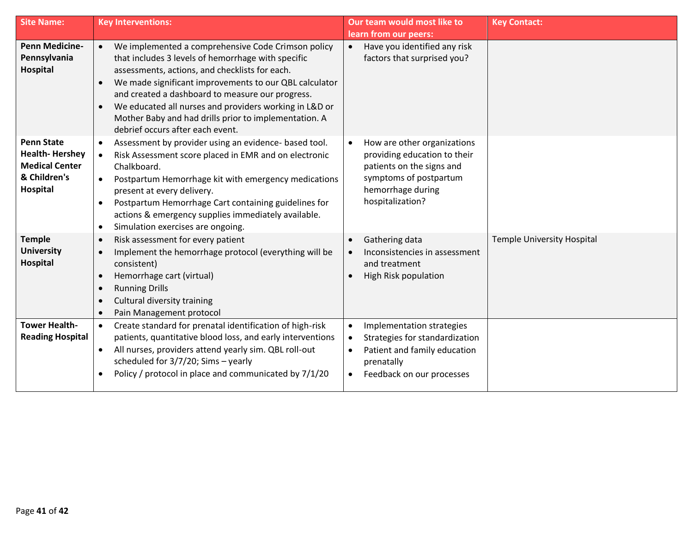| <b>Site Name:</b>                                                                               | <b>Key Interventions:</b>                                                                                                                                                                                                                                                                                                                                                                                                                                              | Our team would most like to                                                                                                                                      | <b>Key Contact:</b>               |
|-------------------------------------------------------------------------------------------------|------------------------------------------------------------------------------------------------------------------------------------------------------------------------------------------------------------------------------------------------------------------------------------------------------------------------------------------------------------------------------------------------------------------------------------------------------------------------|------------------------------------------------------------------------------------------------------------------------------------------------------------------|-----------------------------------|
|                                                                                                 |                                                                                                                                                                                                                                                                                                                                                                                                                                                                        | learn from our peers:                                                                                                                                            |                                   |
| <b>Penn Medicine-</b><br>Pennsylvania<br>Hospital                                               | We implemented a comprehensive Code Crimson policy<br>$\bullet$<br>that includes 3 levels of hemorrhage with specific<br>assessments, actions, and checklists for each.<br>We made significant improvements to our QBL calculator<br>$\bullet$<br>and created a dashboard to measure our progress.<br>We educated all nurses and providers working in L&D or<br>$\bullet$<br>Mother Baby and had drills prior to implementation. A<br>debrief occurs after each event. | Have you identified any risk<br>factors that surprised you?                                                                                                      |                                   |
| <b>Penn State</b><br><b>Health-Hershey</b><br><b>Medical Center</b><br>& Children's<br>Hospital | Assessment by provider using an evidence- based tool.<br>$\bullet$<br>Risk Assessment score placed in EMR and on electronic<br>$\bullet$<br>Chalkboard.<br>Postpartum Hemorrhage kit with emergency medications<br>$\bullet$<br>present at every delivery.<br>Postpartum Hemorrhage Cart containing guidelines for<br>$\bullet$<br>actions & emergency supplies immediately available.<br>Simulation exercises are ongoing.<br>$\bullet$                               | How are other organizations<br>providing education to their<br>patients on the signs and<br>symptoms of postpartum<br>hemorrhage during<br>hospitalization?      |                                   |
| <b>Temple</b><br><b>University</b><br>Hospital                                                  | Risk assessment for every patient<br>$\bullet$<br>Implement the hemorrhage protocol (everything will be<br>$\bullet$<br>consistent)<br>Hemorrhage cart (virtual)<br>$\bullet$<br><b>Running Drills</b><br>$\bullet$<br>Cultural diversity training<br>$\bullet$<br>Pain Management protocol<br>$\bullet$                                                                                                                                                               | Gathering data<br>$\bullet$<br>Inconsistencies in assessment<br>and treatment<br>High Risk population                                                            | <b>Temple University Hospital</b> |
| <b>Tower Health-</b><br><b>Reading Hospital</b>                                                 | Create standard for prenatal identification of high-risk<br>$\bullet$<br>patients, quantitative blood loss, and early interventions<br>All nurses, providers attend yearly sim. QBL roll-out<br>$\bullet$<br>scheduled for $3/7/20$ ; Sims - yearly<br>Policy / protocol in place and communicated by 7/1/20<br>$\bullet$                                                                                                                                              | Implementation strategies<br>$\bullet$<br>Strategies for standardization<br>$\bullet$<br>Patient and family education<br>prenatally<br>Feedback on our processes |                                   |